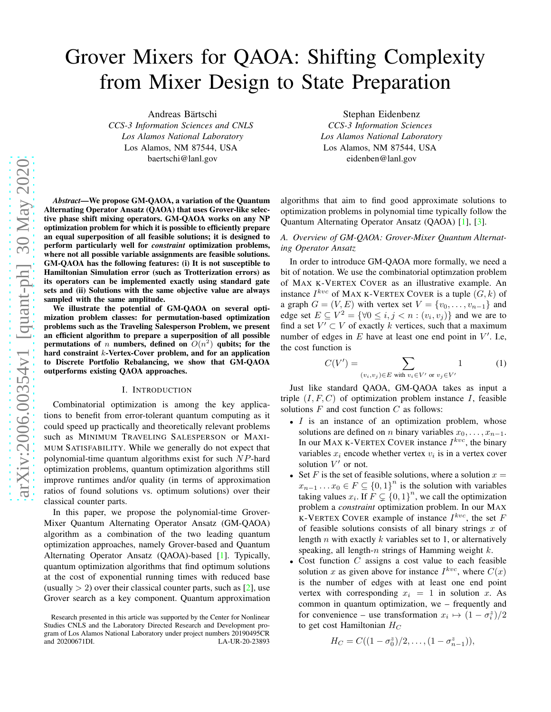# Grover Mixers for QAOA: Shifting Complexity from Mixer Design to State Preparation

Andreas Bärtschi

*CCS-3 Information Sciences and CNLS Los Alamos National Laboratory* Los Alamos, NM 87544, USA baertschi@lanl.gov

*Abstract*—We propose GM-QAOA, a variation of the Quantum Alternating Operator Ansatz (QAOA) that uses Grover-like selective phase shift mixing operators. GM-QAOA works on any NP optimization problem for which it is possible to efficiently prepare an equal superposition of all feasible solutions; it is designed to perform particularly well for *constraint* optimization problems, where not all possible variable assignments are feasible solutions. GM-QAOA has the following features: (i) It is not susceptible to Hamiltonian Simulation error (such as Trotterization errors) as its operators can be implemented exactly using standard gate sets and (ii) Solutions with the same objective value are always sampled with the same amplitude.

We illustrate the potential of GM-QAOA on several optimization problem classes: for permutation-based optimization problems such as the Traveling Salesperson Problem, we present an efficient algorithm to prepare a superposition of all possible permutations of *n* numbers, defined on  $O(n^2)$  qubits; for the hard constraint k-Vertex-Cover problem, and for an application to Discrete Portfolio Rebalancing, we show that GM-QAOA outperforms existing QAOA approaches.

## I. INTRODUCTION

Combinatorial optimization is among the key applications to benefit from error-tolerant quantum computing as it could speed up practically and theoretically relevant problems such as MINIMUM TRAVELING SALESPERSON or MAXI-MUM SATISFABILITY. While we generally do not expect that polynomial-time quantum algorithms exist for such NP-hard optimization problems, quantum optimization algorithms still improve runtimes and/or quality (in terms of approximation ratios of found solutions vs. optimum solutions) over their classical counter parts.

In this paper, we propose the polynomial-time Grover-Mixer Quantum Alternating Operator Ansatz (GM-QAOA) algorithm as a combination of the two leading quantum optimization approaches, namely Grover-based and Quantum Alternating Operator Ansatz (QAOA)-based [\[1\]](#page-9-0). Typically, quantum optimization algorithms that find optimum solutions at the cost of exponential running times with reduced base (usually  $> 2$ ) over their classical counter parts, such as [\[2\]](#page-9-1), use Grover search as a key component. Quantum approximation

Stephan Eidenbenz *CCS-3 Information Sciences Los Alamos National Laboratory* Los Alamos, NM 87544, USA eidenben@lanl.gov

algorithms that aim to find good approximate solutions to optimization problems in polynomial time typically follow the Quantum Alternating Operator Ansatz (QAOA) [\[1\]](#page-9-0), [\[3\]](#page-9-2).

## <span id="page-0-0"></span>*A. Overview of GM-QAOA: Grover-Mixer Quantum Alternating Operator Ansatz*

In order to introduce GM-QAOA more formally, we need a bit of notation. We use the combinatorial optimzation problem of MAX K-VERTEX COVER as an illustrative example. An instance  $I^{kvc}$  of MAX K-VERTEX COVER is a tuple  $(G, k)$  of a graph  $G = (V, E)$  with vertex set  $V = \{v_0, \ldots, v_{n-1}\}\$ and edge set  $E \subseteq V^2 = \{ \forall 0 \le i, j < n : (v_i, v_j) \}$  and we are to find a set  $V' \subset V$  of exactly k vertices, such that a maximum number of edges in  $E$  have at least one end point in  $V'$ . I.e, the cost function is

<span id="page-0-1"></span>
$$
C(V') = \sum_{(v_i, v_j) \in E \text{ with } v_i \in V' \text{ or } v_j \in V'} 1 \tag{1}
$$

Just like standard QAOA, GM-QAOA takes as input a triple  $(I, F, C)$  of optimization problem instance I, feasible solutions  $F$  and cost function  $C$  as follows:

- $\bullet$  *I* is an instance of an optimization problem, whose solutions are defined on *n* binary variables  $x_0, \ldots, x_{n-1}$ . In our MAX K-VERTEX COVER instance  $I^{kvc}$ , the binary variables  $x_i$  encode whether vertex  $v_i$  is in a vertex cover solution  $V'$  or not.
- Set F is the set of feasible solutions, where a solution  $x =$  $x_{n-1} \dots x_0 \in F \subseteq \{0,1\}^n$  is the solution with variables taking values  $x_i$ . If  $F \subsetneq \{0, 1\}^n$ , we call the optimization problem a *constraint* optimization problem. In our MAX K-VERTEX COVER example of instance  $I^{kvc}$ , the set F of feasible solutions consists of all binary strings  $x$  of length  $n$  with exactly  $k$  variables set to 1, or alternatively speaking, all length-n strings of Hamming weight  $k$ .
- Cost function  $C$  assigns a cost value to each feasible solution x as given above for instance  $I^{kvc}$ , where  $C(x)$ is the number of edges with at least one end point vertex with corresponding  $x_i = 1$  in solution x. As common in quantum optimization, we – frequently and for convenience – use transformation  $x_i \mapsto (1 - \sigma_i^z)/2$ to get cost Hamiltonian  $H_C$

$$
H_C = C((1 - \sigma_0^z)/2, \ldots, (1 - \sigma_{n-1}^z)),
$$

Research presented in this article was supported by the Center for Nonlinear Studies CNLS and the Laboratory Directed Research and Development program of Los Alamos National Laboratory under project numbers 20190495CR<br>and 20200671DI and 20200671DI.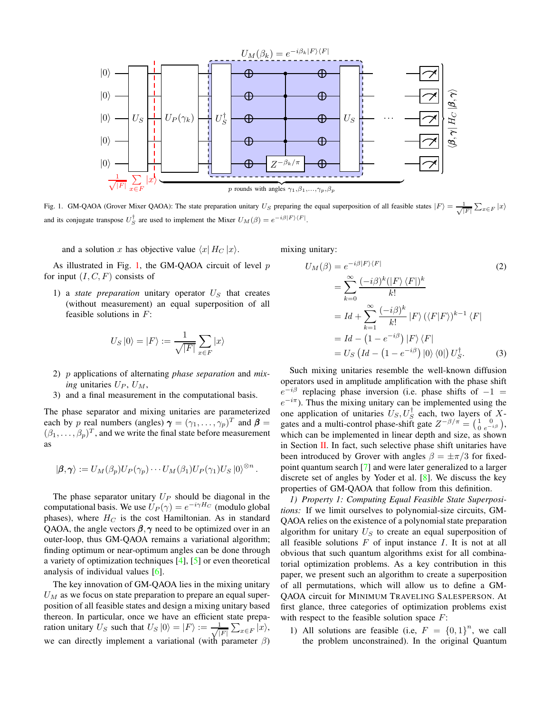

<span id="page-1-0"></span>Fig. 1. GM-QAOA (Grover Mixer QAOA): The state preparation unitary U<sub>S</sub> preparing the equal superposition of all feasible states  $|F\rangle = \frac{1}{\sqrt{|F|}} \sum_{x \in F} |x\rangle$ and its conjugate transpose  $U_S^{\dagger}$  are used to implement the Mixer  $U_M(\beta) = e^{-i\beta|F\rangle\langle F|}$ .

and a solution x has objective value  $\langle x | H_C | x \rangle$ .

As illustrated in Fig. [1,](#page-1-0) the GM-QAOA circuit of level  $p$ for input  $(I, C, F)$  consists of

1) a *state preparation* unitary operator  $U<sub>S</sub>$  that creates (without measurement) an equal superposition of all feasible solutions in  $F$ :

$$
U_S |0\rangle = |F\rangle := \frac{1}{\sqrt{|F|}} \sum_{x \in F} |x\rangle
$$

- 2) p applications of alternating *phase separation* and *mixing* unitaries  $U_P$ ,  $U_M$ ,
- 3) and a final measurement in the computational basis.

The phase separator and mixing unitaries are parameterized each by p real numbers (angles)  $\boldsymbol{\gamma} = (\gamma_1, \dots, \gamma_p)^T$  and  $\boldsymbol{\beta} =$  $(\beta_1,\ldots,\beta_p)^T$ , and we write the final state before measurement as

$$
|\boldsymbol{\beta},\boldsymbol{\gamma}\rangle := U_M(\beta_p)U_P(\gamma_p)\cdots U_M(\beta_1)U_P(\gamma_1)U_S\ket{0}^{\otimes n}.
$$

The phase separator unitary  $U_P$  should be diagonal in the computational basis. We use  $U_P(\gamma) = e^{-i\gamma H_C}$  (modulo global phases), where  $H_C$  is the cost Hamiltonian. As in standard QAOA, the angle vectors  $\beta$ ,  $\gamma$  need to be optimized over in an outer-loop, thus GM-QAOA remains a variational algorithm; finding optimum or near-optimum angles can be done through a variety of optimization techniques [\[4\]](#page-9-3), [\[5\]](#page-9-4) or even theoretical analysis of individual values [\[6\]](#page-9-5).

The key innovation of GM-QAOA lies in the mixing unitary  $U_M$  as we focus on state preparation to prepare an equal superposition of all feasible states and design a mixing unitary based thereon. In particular, once we have an efficient state preparation unitary  $U_S$  such that  $U_S |0\rangle = |F\rangle := \frac{1}{\sqrt{2}}$  $|F|$  $\sum_{x \in F} |x\rangle,$ we can directly implement a variational (with parameter  $\beta$ )

mixing unitary:

$$
U_M(\beta) = e^{-i\beta|F\rangle\langle F|}
$$
\n
$$
= \sum_{k=0}^{\infty} \frac{(-i\beta)^k (|F\rangle\langle F|)^k}{k!}
$$
\n
$$
= Id + \sum_{k=1}^{\infty} \frac{(-i\beta)^k}{k!} |F\rangle (\langle F|F\rangle)^{k-1} \langle F|
$$
\n
$$
= Id - (1 - e^{-i\beta}) |F\rangle\langle F|
$$
\n
$$
= U_S (Id - (1 - e^{-i\beta}) |0\rangle\langle 0|) U_S^{\dagger}.
$$
\n(3)

Such mixing unitaries resemble the well-known diffusion operators used in amplitude amplification with the phase shift  $e^{-i\beta}$  replacing phase inversion (i.e. phase shifts of  $-1 =$  $e^{-i\pi}$ ). Thus the mixing unitary can be implemented using the one application of unitaries  $U_S, U_S^{\dagger}$  each, two layers of Xgates and a multi-control phase-shift gate  $Z^{-\beta/\pi} = \begin{pmatrix} 1 & 0 \\ 0 & e^{-\beta/\pi} \end{pmatrix}$  $\frac{1}{0} \frac{0}{e^{-i\beta}}$ , which can be implemented in linear depth and size, as shown in Section [II.](#page-3-0) In fact, such selective phase shift unitaries have been introduced by Grover with angles  $\beta = \pm \pi/3$  for fixedpoint quantum search [\[7\]](#page-9-6) and were later generalized to a larger discrete set of angles by Yoder et al. [\[8\]](#page-9-7). We discuss the key properties of GM-QAOA that follow from this definition.

*1) Property 1: Computing Equal Feasible State Superpositions:* If we limit ourselves to polynomial-size circuits, GM-QAOA relies on the existence of a polynomial state preparation algorithm for unitary  $U_S$  to create an equal superposition of all feasible solutions  $F$  of input instance  $I$ . It is not at all obvious that such quantum algorithms exist for all combinatorial optimization problems. As a key contribution in this paper, we present such an algorithm to create a superposition of all permutations, which will allow us to define a GM-QAOA circuit for MINIMUM TRAVELING SALESPERSON. At first glance, three categories of optimization problems exist with respect to the feasible solution space  $F$ :

1) All solutions are feasible (i.e,  $F = \{0, 1\}^n$ , we call the problem unconstrained). In the original Quantum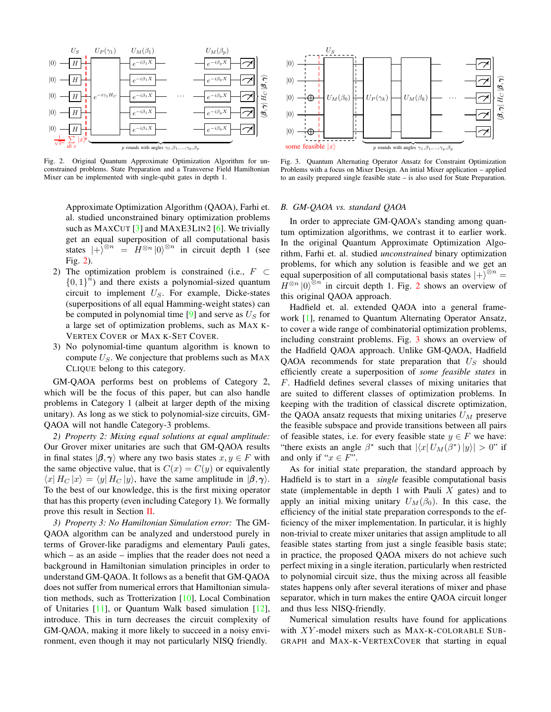

<span id="page-2-0"></span>Fig. 2. Original Quantum Approximate Optimization Algorithm for unconstrained problems. State Preparation and a Transverse Field Hamiltonian Mixer can be implemented with single-qubit gates in depth 1.

Approximate Optimization Algorithm (QAOA), Farhi et. al. studied unconstrained binary optimization problems such as MAXCUT  $\lceil 3 \rceil$  and MAXE3LIN2  $\lceil 6 \rceil$ . We trivially get an equal superposition of all computational basis states  $|+\rangle^{\otimes n} = \hat{H}^{\otimes n} |0\rangle^{\otimes n}$  in circuit depth 1 (see Fig. [2\)](#page-2-0).

- 2) The optimization problem is constrained (i.e.,  $F \subset$  ${0,1}^{\hat{n}}$  and there exists a polynomial-sized quantum circuit to implement  $U<sub>S</sub>$ . For example, Dicke-states (superpositions of all equal Hamming-weight states) can be computed in polynomial time [\[9\]](#page-9-8) and serve as  $U<sub>S</sub>$  for a large set of optimization problems, such as MAX K-VERTEX COVER or MAX K-SET COVER.
- 3) No polynomial-time quantum algorithm is known to compute  $U<sub>S</sub>$ . We conjecture that problems such as MAX CLIQUE belong to this category.

GM-QAOA performs best on problems of Category 2, which will be the focus of this paper, but can also handle problems in Category 1 (albeit at larger depth of the mixing unitary). As long as we stick to polynomial-size circuits, GM-QAOA will not handle Category-3 problems.

*2) Property 2: Mixing equal solutions at equal amplitude:* Our Grover mixer unitaries are such that GM-QAOA results in final states  $|\beta, \gamma\rangle$  where any two basis states  $x, y \in F$  with the same objective value, that is  $C(x) = C(y)$  or equivalently  $\langle x | H_C | x \rangle = \langle y | H_C | y \rangle$ , have the same amplitude in  $|\beta, \gamma \rangle$ . To the best of our knowledge, this is the first mixing operator that has this property (even including Category 1). We formally prove this result in Section [II.](#page-3-0)

*3) Property 3: No Hamiltonian Simulation error:* The GM-QAOA algorithm can be analyzed and understood purely in terms of Grover-like paradigms and elementary Pauli gates, which – as an aside – implies that the reader does not need a background in Hamiltonian simulation principles in order to understand GM-QAOA. It follows as a benefit that GM-QAOA does not suffer from numerical errors that Hamiltonian simulation methods, such as Trotterization [\[10\]](#page-9-9), Local Combination of Unitaries [\[11\]](#page-9-10), or Quantum Walk based simulation [\[12\]](#page-9-11), introduce. This in turn decreases the circuit complexity of GM-QAOA, making it more likely to succeed in a noisy environment, even though it may not particularly NISQ friendly.



<span id="page-2-1"></span>Fig. 3. Quantum Alternating Operator Ansatz for Constraint Optimization Problems with a focus on Mixer Design. An intial Mixer application – applied to an easily prepared single feasible state – is also used for State Preparation.

## *B. GM-QAOA vs. standard QAOA*

In order to appreciate GM-QAOA's standing among quantum optimization algorithms, we contrast it to earlier work. In the original Quantum Approximate Optimization Algorithm, Farhi et. al. studied *unconstrained* binary optimization problems, for which any solution is feasible and we get an equal superposition of all computational basis states  $|+\rangle^{\otimes n} =$  $H^{\otimes n} |0\rangle^{\otimes n}$  in circuit depth 1. Fig. [2](#page-2-0) shows an overview of this original QAOA approach.

Hadfield et. al. extended QAOA into a general framework [\[1\]](#page-9-0), renamed to Quantum Alternating Operator Ansatz, to cover a wide range of combinatorial optimization problems, including constraint problems. Fig. [3](#page-2-1) shows an overview of the Hadfield QAOA approach. Unlike GM-QAOA, Hadfield QAOA recommends for state preparation that  $U<sub>S</sub>$  should efficiently create a superposition of *some feasible states* in F. Hadfield defines several classes of mixing unitaries that are suited to different classes of optimization problems. In keeping with the tradition of classical discrete optimization, the QAOA ansatz requests that mixing unitaries  $U_M$  preserve the feasible subspace and provide transitions between all pairs of feasible states, i.e. for every feasible state  $y \in F$  we have: "there exists an angle  $\beta^*$  such that  $|\langle x | U_M(\beta^*) | y \rangle| > 0$ " if and only if " $x \in F$ ".

As for initial state preparation, the standard approach by Hadfield is to start in a *single* feasible computational basis state (implementable in depth 1 with Pauli X gates) and to apply an initial mixing unitary  $U_M(\beta_0)$ . In this case, the efficiency of the initial state preparation corresponds to the efficiency of the mixer implementation. In particular, it is highly non-trivial to create mixer unitaries that assign amplitude to all feasible states starting from just a single feasible basis state; in practice, the proposed QAOA mixers do not achieve such perfect mixing in a single iteration, particularly when restricted to polynomial circuit size, thus the mixing across all feasible states happens only after several iterations of mixer and phase separator, which in turn makes the entire QAOA circuit longer and thus less NISQ-friendly.

Numerical simulation results have found for applications with  $XY$ -model mixers such as MAX-K-COLORABLE SUB-GRAPH and MAX-K-VERTEXCOVER that starting in equal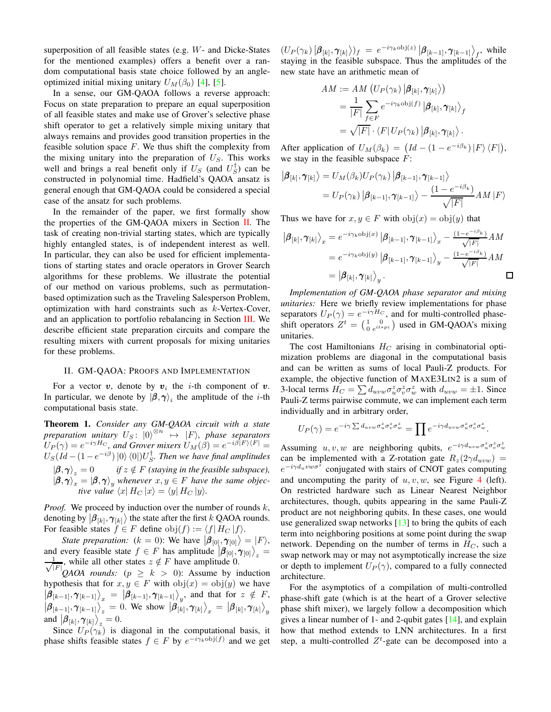superposition of all feasible states (e.g. W- and Dicke-States for the mentioned examples) offers a benefit over a random computational basis state choice followed by an angleoptimized initial mixing unitary  $U_M(\beta_0)$  [\[4\]](#page-9-3), [\[5\]](#page-9-4).

In a sense, our GM-QAOA follows a reverse approach: Focus on state preparation to prepare an equal superposition of all feasible states and make use of Grover's selective phase shift operator to get a relatively simple mixing unitary that always remains and provides good transition properties in the feasible solution space  $F$ . We thus shift the complexity from the mixing unitary into the preparation of  $U<sub>S</sub>$ . This works well and brings a real benefit only if  $U_S$  (and  $U_S^{\dagger}$ ) can be constructed in polynomial time. Hadfield's QAOA ansatz is general enough that GM-QAOA could be considered a special case of the ansatz for such problems.

In the remainder of the paper, we first formally show the properties of the GM-QAOA mixers in Section [II.](#page-3-0) The task of creating non-trivial starting states, which are typically highly entangled states, is of independent interest as well. In particular, they can also be used for efficient implementations of starting states and oracle operators in Grover Search algorithms for these problems. We illustrate the potential of our method on various problems, such as permutationbased optimization such as the Traveling Salesperson Problem, optimization with hard constraints such as k-Vertex-Cover, and an application to portfolio rebalancing in Section [III.](#page-4-0) We describe efficient state preparation circuits and compare the resulting mixers with current proposals for mixing unitaries for these problems.

## <span id="page-3-0"></span>II. GM-QAOA: PROOFS AND IMPLEMENTATION

For a vector  $v$ , denote by  $v_i$  the *i*-th component of  $v$ . In particular, we denote by  $(\beta, \gamma)$ <sub>i</sub> the amplitude of the *i*-th computational basis state.

Theorem 1. *Consider any GM-QAOA circuit with a state preparation unitary*  $U_S$ :  $|0\rangle^{\otimes n} \rightarrow |F\rangle$ , *phase separators*  $U_P(\gamma) = e^{-i\gamma H_C}$ , and Grover mixers  $U_M(\beta) = e^{-i\beta |F\rangle\langle F|} =$  $U_S(Id-(1-e^{-i\beta})\ket{0}\bra{0}]U_S^{\dagger}$ . Then we have final amplitudes  $|\boldsymbol{\beta}, \boldsymbol{\gamma} \rangle_z = 0$  *if*  $z \notin F$  *(staying in the feasible subspace),*  $|\boldsymbol{\beta}, \boldsymbol{\gamma}\rangle_x = |\boldsymbol{\beta}, \boldsymbol{\gamma}\rangle_y$  whenever  $x, y \in F$  have the same objec*tive value*  $\langle x | H_C | x \rangle = \langle y | H_C | y \rangle$ *.* 

*Proof.* We proceed by induction over the number of rounds k, denoting by  $\big|\boldsymbol{\beta}_{[k]},\boldsymbol{\gamma}_{[k]}\big\rangle$  the state after the first k QAOA rounds. For feasible states  $f \in F$  define  $obj(f) := \langle f | H_C | f \rangle$ .

*State preparation:*  $(k = 0)$ : We have  $|\beta_{[0]}, \gamma_{[0]}\rangle = |F\rangle$ , and every feasible state  $f \in F$  has amplitude  $\left| \beta_{[0]}, \gamma_{[0]} \right\rangle_z =$ √ 1  $\frac{1}{|F|}$ , while all other states  $z \notin F$  have amplitude 0.

*QAOA rounds:* ( $p \geq k > 0$ ): Assume by induction hypothesis that for  $x, y \in F$  with  $obj(x) = obj(y)$  we have  $\left|\hat{\beta}_{[k-1]}, \gamma_{[k-1]}\right\rangle_{x} = \left|\hat{\beta}_{[k-1]}, \gamma_{[k-1]}\right\rangle_{y}$ , and that for  $z \notin F$ ,  $\left|\beta_{[k-1]}, \gamma_{[k-1]}\right\rangle_z^{\circ} = 0.$  We show  $\left|\beta_{[k]}, \gamma_{[k]}\right\rangle_x = \left|\beta_{[k]}, \gamma_{[k]}\right\rangle_y$ and  $\left|\beta_{[k]}, \gamma_{[k]}\right\rangle_z = 0.$ 

Since  $U_P(\gamma_k)$  is diagonal in the computational basis, it phase shifts feasible states  $f \in F$  by  $e^{-i\gamma_k \text{obj}(f)}$  and we get

 $(U_P(\gamma_k) \big| \boldsymbol{\beta}_{[k]}, \boldsymbol{\gamma}_{[k]} \rangle)_f = e^{-i \gamma_k \text{obj}(z)} \big| \boldsymbol{\beta}_{[k-1]}, \boldsymbol{\gamma}_{[k-1]} \big\rangle_f$ , while staying in the feasible subspace. Thus the amplitudes of the new state have an arithmetic mean of

$$
AM := AM \left( U_P(\gamma_k) \left| \boldsymbol{\beta}_{[k]}, \boldsymbol{\gamma}_{[k]} \right\rangle \right)
$$
  
= 
$$
\frac{1}{|F|} \sum_{f \in F} e^{-i\gamma_k \text{obj}(f)} \left| \boldsymbol{\beta}_{[k]}, \boldsymbol{\gamma}_{[k]} \right\rangle_f
$$
  
= 
$$
\sqrt{|F|} \cdot \langle F | U_P(\gamma_k) | \boldsymbol{\beta}_{[k]}, \boldsymbol{\gamma}_{[k]} \rangle.
$$

After application of  $U_M(\beta_k) = (Id - (1 - e^{-i\beta_k}) |F\rangle \langle F|),$ we stay in the feasible subspace  $F$ :

$$
\begin{aligned} \left| \boldsymbol{\beta}_{[k]}, \boldsymbol{\gamma}_{[k]} \right\rangle &= U_M(\beta_k) U_P(\gamma_k) \left| \boldsymbol{\beta}_{[k-1]}, \boldsymbol{\gamma}_{[k-1]} \right\rangle \\ &= U_P(\gamma_k) \left| \boldsymbol{\beta}_{[k-1]}, \boldsymbol{\gamma}_{[k-1]} \right\rangle - \frac{(1 - e^{-i\beta_k})}{\sqrt{|F|}} AM \left| F \right\rangle \end{aligned}
$$

Thus we have for  $x, y \in F$  with  $obj(x) = obj(y)$  that

$$
\begin{aligned}\n\left|\pmb{\beta}_{[k]},\pmb{\gamma}_{[k]}\right\rangle_{x} &= e^{-i\gamma_{k}\text{obj}(x)}\left|\pmb{\beta}_{[k-1]},\pmb{\gamma}_{[k-1]}\right\rangle_{x} - \frac{(1-e^{-i\beta_{k}})}{\sqrt{|F|}}AM \\
&= e^{-i\gamma_{k}\text{obj}(y)}\left|\pmb{\beta}_{[k-1]},\pmb{\gamma}_{[k-1]}\right\rangle_{y} - \frac{(1-e^{-i\beta_{k}})}{\sqrt{|F|}}AM \\
&= \left|\pmb{\beta}_{[k]},\pmb{\gamma}_{[k]}\right\rangle_{y}.\n\end{aligned}
$$

*Implementation of GM-QAOA phase separator and mixing unitaries:* Here we briefly review implementations for phase separators  $U_P(\gamma) = e^{-i\gamma H_C}$ , and for multi-controlled phaseshift operators  $Z^t = \begin{pmatrix} 1 & 0 \\ 0 & e^{it * pi} \end{pmatrix}$  used in GM-QAOA's mixing unitaries.

The cost Hamiltonians  $H_C$  arising in combinatorial optimization problems are diagonal in the computational basis and can be written as sums of local Pauli-Z products. For example, the objective function of MAXE3LIN2 is a sum of 3-local terms  $H_C = \sum d_{uvw} \sigma_u^z \sigma_v^z \sigma_w^z$  with  $d_{uvw} = \pm 1$ . Since Pauli-Z terms pairwise commute, we can implement each term individually and in arbitrary order,

$$
U_P(\gamma) = e^{-i\gamma \sum d_{uvw} \sigma_u^z \sigma_v^z \sigma_w^z} = \prod e^{-i\gamma d_{uvw} \sigma_u^z \sigma_v^z \sigma_w^z}.
$$

Assuming  $u, v, w$  are neighboring qubits,  $e^{-i\gamma d_{uvw}\sigma_u^z\sigma_v^z\sigma_w^z}$ can be implemented with a Z-rotation gate  $R_z(2\gamma d_{uvw})$  =  $e^{-i\gamma d_u v w \sigma^2}$  conjugated with stairs of CNOT gates computing and uncomputing the parity of  $u, v, w$ , see Figure [4](#page-4-1) (left). On restricted hardware such as Linear Nearest Neighbor architectures, though, qubits appearing in the same Pauli-Z product are not neighboring qubits. In these cases, one would use generalized swap networks  $[13]$  to bring the qubits of each term into neighboring positions at some point during the swap network. Depending on the number of terms in  $H_C$ , such a swap network may or may not asymptotically increase the size or depth to implement  $U_P(\gamma)$ , compared to a fully connected architecture.

For the asymptotics of a compilation of multi-controlled phase-shift gate (which is at the heart of a Grover selective phase shift mixer), we largely follow a decomposition which gives a linear number of 1- and 2-qubit gates [\[14\]](#page-9-13), and explain how that method extends to LNN architectures. In a first step, a multi-controlled  $Z^t$ -gate can be decomposed into a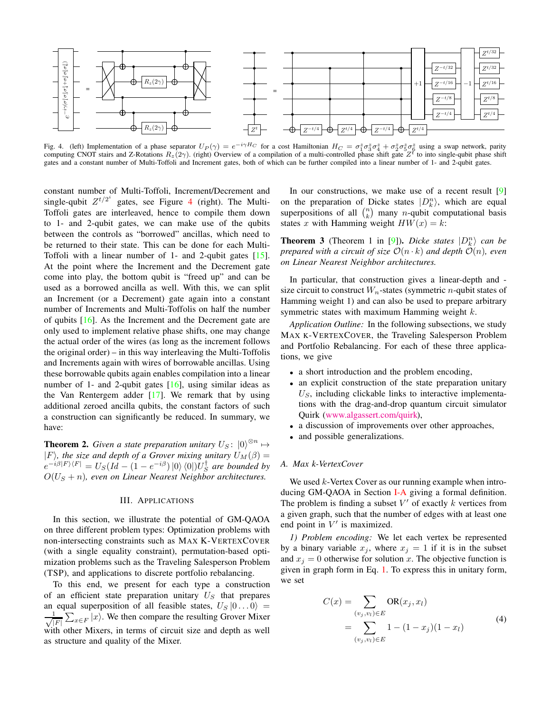

<span id="page-4-1"></span>Fig. 4. (left) Implementation of a phase separator  $U_P(\gamma) = e^{-i\gamma H_C}$  for a cost Hamiltonian  $H_C = \sigma_1^z \sigma_3^z \sigma_4^z + \sigma_2^z \sigma_5^z \sigma_6^z$  using a swap network, parity computing CNOT stairs and Z-Rotations  $R_z(2\gamma)$ . (right) O gates and a constant number of Multi-Toffoli and Increment gates, both of which can be further compiled into a linear number of 1- and 2-qubit gates.

constant number of Multi-Toffoli, Increment/Decrement and single-qubit  $Z^{t/2^i}$  gates, see Figure [4](#page-4-1) (right). The Multi-Toffoli gates are interleaved, hence to compile them down to 1- and 2-qubit gates, we can make use of the qubits between the controls as "borrowed" ancillas, which need to be returned to their state. This can be done for each Multi-Toffoli with a linear number of 1- and 2-qubit gates [\[15\]](#page-9-14). At the point where the Increment and the Decrement gate come into play, the bottom qubit is "freed up" and can be used as a borrowed ancilla as well. With this, we can split an Increment (or a Decrement) gate again into a constant number of Increments and Multi-Toffolis on half the number of qubits [\[16\]](#page-9-15). As the Increment and the Decrement gate are only used to implement relative phase shifts, one may change the actual order of the wires (as long as the increment follows the original order) – in this way interleaving the Multi-Toffolis and Increments again with wires of borrowable ancillas. Using these borrowable qubits again enables compilation into a linear number of 1- and 2-qubit gates [\[16\]](#page-9-15), using similar ideas as the Van Rentergem adder  $[17]$ . We remark that by using additional zeroed ancilla qubits, the constant factors of such a construction can significantly be reduced. In summary, we have:

<span id="page-4-2"></span>**Theorem 2.** *Given a state preparation unitary*  $U_S$ :  $|0\rangle^{\otimes n} \mapsto$  $|F\rangle$ *, the size and depth of a Grover mixing unitary*  $U_M(\beta)$  =  $e^{-i\beta|F\rangle\langle F|} = U_S(Id - (1 - e^{-i\beta}) |0\rangle\langle 0|) U_S^{\dagger}$  are bounded by  $O(U<sub>S</sub> + n)$ , even on Linear Nearest Neighbor architectures.

## III. APPLICATIONS

<span id="page-4-0"></span>In this section, we illustrate the potential of GM-QAOA on three different problem types: Optimization problems with non-intersecting constraints such as MAX K-VERTEXCOVER (with a single equality constraint), permutation-based optimization problems such as the Traveling Salesperson Problem (TSP), and applications to discrete portfolio rebalancing.

To this end, we present for each type a construction of an efficient state preparation unitary  $U<sub>S</sub>$  that prepares an equal superposition of all feasible states,  $U_S |0...0\rangle =$ √ 1  $|F|$  $\sum_{x \in F} |x\rangle$ . We then compare the resulting Grover Mixer with other Mixers, in terms of circuit size and depth as well as structure and quality of the Mixer.

In our constructions, we make use of a recent result [\[9\]](#page-9-8) on the preparation of Dicke states  $|D_k^n\rangle$ , which are equal superpositions of all  $\binom{n}{k}$  many *n*-qubit computational basis states x with Hamming weight  $HW(x) = k$ :

<span id="page-4-4"></span>**Theorem 3** (Theorem 1 in [\[9\]](#page-9-8)). *Dicke states*  $|D_k^n\rangle$  *can be prepared with a circuit of size*  $\mathcal{O}(n \cdot k)$  *and depth*  $\mathcal{O}(n)$ *, even on Linear Nearest Neighbor architectures.*

In particular, that construction gives a linear-depth and size circuit to construct  $W_n$ -states (symmetric *n*-qubit states of Hamming weight 1) and can also be used to prepare arbitrary symmetric states with maximum Hamming weight k.

*Application Outline:* In the following subsections, we study MAX K-VERTEXCOVER, the Traveling Salesperson Problem and Portfolio Rebalancing. For each of these three applications, we give

- a short introduction and the problem encoding,
- an explicit construction of the state preparation unitary  $U<sub>S</sub>$ , including clickable links to interactive implementations with the drag-and-drop quantum circuit simulator Quirk [\(www.algassert.com/quirk\)](www.algassert.com/quirk),
- a discussion of improvements over other approaches,
- and possible generalizations.

## *A. Max k-VertexCover*

We used  $k$ -Vertex Cover as our running example when introducing GM-QAOA in Section [I-A](#page-0-0) giving a formal definition. The problem is finding a subset  $V'$  of exactly k vertices from a given graph, such that the number of edges with at least one end point in  $V'$  is maximized.

*1) Problem encoding:* We let each vertex be represented by a binary variable  $x_j$ , where  $x_j = 1$  if it is in the subset and  $x_j = 0$  otherwise for solution x. The objective function is given in graph form in Eq. [1.](#page-0-1) To express this in unitary form, we set

<span id="page-4-3"></span>
$$
C(x) = \sum_{(v_j, v_l) \in E} \text{OR}(x_j, x_l)
$$
  
= 
$$
\sum_{(v_j, v_l) \in E} 1 - (1 - x_j)(1 - x_l)
$$
 (4)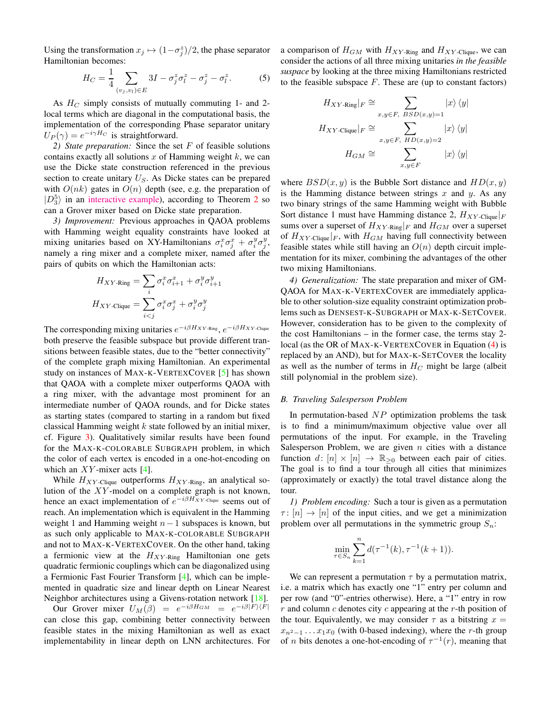Using the transformation  $x_j \mapsto (1-\sigma_j^z)/2$ , the phase separator Hamiltonian becomes:

$$
H_C = \frac{1}{4} \sum_{(v_j, v_l) \in E} 3I - \sigma_j^z \sigma_l^z - \sigma_j^z - \sigma_l^z. \tag{5}
$$

As  $H_C$  simply consists of mutually commuting 1- and 2local terms which are diagonal in the computational basis, the implementation of the corresponding Phase separator unitary  $U_P(\gamma) = e^{-i\gamma H_C}$  is straightforward.

*2) State preparation:* Since the set F of feasible solutions contains exactly all solutions  $x$  of Hamming weight  $k$ , we can use the Dicke state construction referenced in the previous section to create unitary  $U<sub>S</sub>$ . As Dicke states can be prepared with  $O(nk)$  gates in  $O(n)$  depth (see, e.g. the preparation of  $|D_3^5\rangle$  in an [interactive example\)](https://algassert.com/quirk#circuit=%7B%22cols%22%3A%5B%5B1%2C1%2C%22X%22%2C%22X%22%2C%22X%22%5D%2C%5B%22Chance%22%2C%22Chance%22%2C%22Chance%22%2C%22Chance%22%2C%22Chance%22%5D%2C%5B%22Chance5%22%5D%2C%5B1%2C1%2C1%2C%22%E2%80%A2%22%2C%22X%22%5D%2C%5B1%2C1%2C1%2C%22~sqrt15%22%2C%22%E2%80%A2%22%5D%2C%5B1%2C1%2C1%2C%22%E2%80%A2%22%2C%22X%22%5D%2C%5B1%2C1%2C%22%E2%80%A2%22%2C1%2C%22X%22%5D%2C%5B1%2C1%2C%22~sqrt25%22%2C%22%E2%80%A2%22%2C%22%E2%80%A2%22%5D%2C%5B1%2C1%2C%22%E2%80%A2%22%2C1%2C%22X%22%5D%2C%5B1%2C%22%E2%80%A2%22%2C1%2C1%2C%22X%22%5D%2C%5B1%2C%22~sqrt35%22%2C%22%E2%80%A2%22%2C1%2C%22%E2%80%A2%22%5D%2C%5B1%2C%22%E2%80%A2%22%2C1%2C1%2C%22X%22%5D%2C%5B%22Chance5%22%5D%2C%5B1%2C1%2C%22%E2%80%A2%22%2C%22X%22%5D%2C%5B1%2C1%2C%22~sqrt14%22%2C%22%E2%80%A2%22%5D%2C%5B1%2C1%2C%22%E2%80%A2%22%2C%22X%22%5D%2C%5B1%2C%22%E2%80%A2%22%2C1%2C%22X%22%5D%2C%5B1%2C%22~sqrt24%22%2C%22%E2%80%A2%22%2C%22%E2%80%A2%22%5D%2C%5B1%2C%22%E2%80%A2%22%2C1%2C%22X%22%5D%2C%5B%22%E2%80%A2%22%2C1%2C1%2C%22X%22%5D%2C%5B%22~sqrt34%22%2C%22%E2%80%A2%22%2C1%2C%22%E2%80%A2%22%5D%2C%5B%22%E2%80%A2%22%2C1%2C1%2C%22X%22%5D%2C%5B%22Chance5%22%5D%2C%5B1%2C%22%E2%80%A2%22%2C%22X%22%5D%2C%5B1%2C%22~sqrt13%22%2C%22%E2%80%A2%22%5D%2C%5B1%2C%22%E2%80%A2%22%2C%22X%22%5D%2C%5B%22%E2%80%A2%22%2C1%2C%22X%22%5D%2C%5B%22~sqrt23%22%2C%22%E2%80%A2%22%2C%22%E2%80%A2%22%5D%2C%5B%22%E2%80%A2%22%2C1%2C%22X%22%5D%2C%5B%22Chance5%22%5D%2C%5B%22%E2%80%A2%22%2C%22X%22%5D%2C%5B%22~sqrt12%22%2C%22%E2%80%A2%22%5D%2C%5B%22%E2%80%A2%22%2C%22X%22%5D%2C%5B%22Chance5%22%5D%5D%2C%22gates%22%3A%5B%7B%22id%22%3A%22~sqrt12%22%2C%22name%22%3A%22%E2%88%9A1%2F2%22%2C%22matrix%22%3A%22%7B%7B%E2%88%9A%C2%BD%2C-%E2%88%9A%C2%BD%7D%2C%7B%E2%88%9A%C2%BD%2C%E2%88%9A%C2%BD%7D%7D%22%7D%2C%7B%22id%22%3A%22~sqrt13%22%2C%22name%22%3A%22%E2%88%9A1%2F3%22%2C%22matrix%22%3A%22%7B%7B%E2%88%9A%E2%85%93%2C-%E2%88%9A%E2%85%94%7D%2C%7B%E2%88%9A%E2%85%94%2C%E2%88%9A%E2%85%93%7D%7D%22%7D%2C%7B%22id%22%3A%22~sqrt23%22%2C%22name%22%3A%22%E2%88%9A2%2F3%22%2C%22matrix%22%3A%22%7B%7B%E2%88%9A%E2%85%94%2C-%E2%88%9A%E2%85%93%7D%2C%7B%E2%88%9A%E2%85%93%2C%E2%88%9A%E2%85%94%7D%7D%22%7D%2C%7B%22id%22%3A%22~sqrt14%22%2C%22name%22%3A%22%E2%88%9A1%2F4%22%2C%22matrix%22%3A%22%7B%7B%C2%BD%2C-%E2%88%9A%C2%BE%7D%2C%7B%E2%88%9A%C2%BE%2C%C2%BD%7D%7D%22%7D%2C%7B%22id%22%3A%22~sqrt24%22%2C%22name%22%3A%22%E2%88%9A2%2F4%22%2C%22matrix%22%3A%22%7B%7B%E2%88%9A%C2%BD%2C-%E2%88%9A%C2%BD%7D%2C%7B%E2%88%9A%C2%BD%2C%E2%88%9A%C2%BD%7D%7D%22%7D%2C%7B%22id%22%3A%22~sqrt34%22%2C%22name%22%3A%22%E2%88%9A3%2F4%22%2C%22matrix%22%3A%22%7B%7B%E2%88%9A%C2%BE%2C-%C2%BD%7D%2C%7B%C2%BD%2C%E2%88%9A%C2%BE%7D%7D%22%7D%2C%7B%22id%22%3A%22~sqrt15%22%2C%22name%22%3A%22%E2%88%9A1%2F5%22%2C%22matrix%22%3A%22%7B%7B%E2%88%9A%E2%85%95%2C-%E2%88%9A%E2%85%98%7D%2C%7B%E2%88%9A%E2%85%98%2C%E2%88%9A%E2%85%95%7D%7D%22%7D%2C%7B%22id%22%3A%22~sqrt25%22%2C%22name%22%3A%22%E2%88%9A2%2F5%22%2C%22matrix%22%3A%22%7B%7B%E2%88%9A%E2%85%96%2C-%E2%88%9A%E2%85%97%7D%2C%7B%E2%88%9A%E2%85%97%2C%E2%88%9A%E2%85%96%7D%7D%22%7D%2C%7B%22id%22%3A%22~sqrt35%22%2C%22name%22%3A%22%E2%88%9A3%2F5%22%2C%22matrix%22%3A%22%7B%7B%E2%88%9A%E2%85%97%2C-%E2%88%9A%E2%85%96%7D%2C%7B%E2%88%9A%E2%85%96%2C%E2%88%9A%E2%85%97%7D%7D%22%7D%2C%7B%22id%22%3A%22~sqrt45%22%2C%22name%22%3A%22%E2%88%9A4%2F5%22%2C%22matrix%22%3A%22%7B%7B%E2%88%9A%E2%85%98%2C-%E2%88%9A%E2%85%95%7D%2C%7B%E2%88%9A%E2%85%95%2C%E2%88%9A%E2%85%98%7D%7D%22%7D%2C%7B%22id%22%3A%22~SCS21%22%2C%22name%22%3A%22SCS2%2C1%22%2C%22circuit%22%3A%7B%22cols%22%3A%5B%5B%22%E2%80%A2%22%2C%22X%22%5D%2C%5B%22~sqrt12%22%2C%22%E2%80%A2%22%5D%2C%5B%22%E2%80%A2%22%2C%22X%22%5D%5D%7D%7D%2C%7B%22id%22%3A%22~SCS32%22%2C%22name%22%3A%22SCS3%2C2%22%2C%22circuit%22%3A%7B%22cols%22%3A%5B%5B1%2C%22%E2%80%A2%22%2C%22X%22%5D%2C%5B1%2C%22~sqrt13%22%2C%22%E2%80%A2%22%5D%2C%5B1%2C%22%E2%80%A2%22%2C%22X%22%5D%2C%5B%22%E2%80%A2%22%2C1%2C%22X%22%5D%2C%5B%22~sqrt23%22%2C%22%E2%80%A2%22%2C%22%E2%80%A2%22%5D%2C%5B%22%E2%80%A2%22%2C1%2C%22X%22%5D%5D%7D%7D%2C%7B%22id%22%3A%22~SCS43%22%2C%22name%22%3A%22SCS4%2C3%22%2C%22circuit%22%3A%7B%22cols%22%3A%5B%5B1%2C1%2C%22%E2%80%A2%22%2C%22X%22%5D%2C%5B1%2C1%2C%22~sqrt14%22%2C%22%E2%80%A2%22%5D%2C%5B1%2C1%2C%22%E2%80%A2%22%2C%22X%22%5D%2C%5B1%2C%22%E2%80%A2%22%2C1%2C%22X%22%5D%2C%5B1%2C%22~sqrt24%22%2C%22%E2%80%A2%22%2C%22%E2%80%A2%22%5D%2C%5B1%2C%22%E2%80%A2%22%2C1%2C%22X%22%5D%2C%5B%22%E2%80%A2%22%2C1%2C1%2C%22X%22%5D%2C%5B%22~sqrt34%22%2C%22%E2%80%A2%22%2C1%2C%22%E2%80%A2%22%5D%2C%5B%22%E2%80%A2%22%2C1%2C1%2C%22X%22%5D%5D%7D%7D%2C%7B%22id%22%3A%22~SCS53%22%2C%22name%22%3A%22SCS5%2C3%22%2C%22circuit%22%3A%7B%22cols%22%3A%5B%5B1%2C1%2C%22%E2%80%A2%22%2C%22X%22%5D%2C%5B1%2C1%2C%22~sqrt15%22%2C%22%E2%80%A2%22%5D%2C%5B1%2C1%2C%22%E2%80%A2%22%2C%22X%22%5D%2C%5B1%2C%22%E2%80%A2%22%2C1%2C%22X%22%5D%2C%5B1%2C%22~sqrt25%22%2C%22%E2%80%A2%22%2C%22%E2%80%A2%22%5D%2C%5B1%2C%22%E2%80%A2%22%2C1%2C%22X%22%5D%2C%5B%22%E2%80%A2%22%2C1%2C1%2C%22X%22%5D%2C%5B%22~sqrt35%22%2C%22%E2%80%A2%22%2C1%2C%22%E2%80%A2%22%5D%2C%5B%22%E2%80%A2%22%2C1%2C1%2C%22X%22%5D%5D%7D%7D%2C%7B%22id%22%3A%22~SCS54%22%2C%22name%22%3A%22SCS5%2C4%22%2C%22circuit%22%3A%7B%22cols%22%3A%5B%5B1%2C1%2C1%2C%22%E2%80%A2%22%2C%22X%22%5D%2C%5B1%2C1%2C1%2C%22~sqrt15%22%2C%22%E2%80%A2%22%5D%2C%5B1%2C1%2C1%2C%22%E2%80%A2%22%2C%22X%22%5D%2C%5B1%2C1%2C%22%E2%80%A2%22%2C1%2C%22X%22%5D%2C%5B1%2C1%2C%22~sqrt25%22%2C%22%E2%80%A2%22%2C%22%E2%80%A2%22%5D%2C%5B1%2C1%2C%22%E2%80%A2%22%2C1%2C%22X%22%5D%2C%5B1%2C%22%E2%80%A2%22%2C1%2C1%2C%22X%22%5D%2C%5B1%2C%22~sqrt35%22%2C%22%E2%80%A2%22%2C1%2C%22%E2%80%A2%22%5D%2C%5B1%2C%22%E2%80%A2%22%2C1%2C1%2C%22X%22%5D%2C%5B%22%E2%80%A2%22%2C1%2C1%2C1%2C%22X%22%5D%2C%5B%22~sqrt45%22%2C%22%E2%80%A2%22%2C1%2C1%2C%22%E2%80%A2%22%5D%2C%5B%22%E2%80%A2%22%2C1%2C1%2C1%2C%22X%22%5D%5D%7D%7D%2C%7B%22id%22%3A%22~U53%22%2C%22name%22%3A%22U5%2C3%22%2C%22circuit%22%3A%7B%22cols%22%3A%5B%5B1%2C%22~SCS53%22%5D%2C%5B%22~SCS43%22%5D%2C%5B%22~SCS32%22%5D%2C%5B%22~SCS21%22%5D%5D%7D%7D%5D%7D ), according to Theorem [2](#page-4-2) so can a Grover mixer based on Dicke state preparation.

*3) Improvement:* Previous approaches in QAOA problems with Hamming weight equality constraints have looked at mixing unitaries based on XY-Hamiltonians  $\sigma_i^x \sigma_j^x + \sigma_i^y \sigma_j^y$ , namely a ring mixer and a complete mixer, named after the pairs of qubits on which the Hamiltonian acts:

$$
H_{XY\text{-Ring}} = \sum_{i} \sigma_i^x \sigma_{i+1}^x + \sigma_i^y \sigma_{i+1}^y
$$

$$
H_{XY\text{-Clique}} = \sum_{i < j} \sigma_i^x \sigma_j^x + \sigma_i^y \sigma_j^y
$$

 $\overline{1}$ 

The corresponding mixing unitaries  $e^{-i\beta H_{XY\text{-Ring}}}, e^{-i\beta H_{XY\text{-Clique}}}$ both preserve the feasible subspace but provide different transitions between feasible states, due to the "better connectivity" of the complete graph mixing Hamiltonian. An experimental study on instances of MAX-K-VERTEXCOVER [\[5\]](#page-9-4) has shown that QAOA with a complete mixer outperforms QAOA with a ring mixer, with the advantage most prominent for an intermediate number of QAOA rounds, and for Dicke states as starting states (compared to starting in a random but fixed classical Hamming weight  $k$  state followed by an initial mixer, cf. Figure [3\)](#page-2-1). Qualitatively similar results have been found for the MAX-K-COLORABLE SUBGRAPH problem, in which the color of each vertex is encoded in a one-hot-encoding on which an  $XY$ -mixer acts [\[4\]](#page-9-3).

While  $H_{XY\text{-Clique}}$  outperforms  $H_{XY\text{-Ring}}$ , an analytical solution of the  $XY$ -model on a complete graph is not known, hence an exact implementation of  $e^{-i\beta H_{XY}$ -Clique seems out of reach. An implementation which is equivalent in the Hamming weight 1 and Hamming weight  $n-1$  subspaces is known, but as such only applicable to MAX-K-COLORABLE SUBGRAPH and not to MAX-K-VERTEXCOVER. On the other hand, taking a fermionic view at the  $H_{XY\text{-}Ring}$  Hamiltonian one gets quadratic fermionic couplings which can be diagonalized using a Fermionic Fast Fourier Transform [\[4\]](#page-9-3), which can be implemented in quadratic size and linear depth on Linear Nearest Neighbor architectures using a Givens-rotation network [\[18\]](#page-9-17).

Our Grover mixer  $U_M(\beta) = e^{-i\beta H_{GM}} = e^{-i\beta |F\rangle\langle F|}$ can close this gap, combining better connectivity between feasible states in the mixing Hamiltonian as well as exact implementability in linear depth on LNN architectures. For a comparison of  $H_{GM}$  with  $H_{XY\text{-Ring}}$  and  $H_{XY\text{-}\text{Clique}}$ , we can consider the actions of all three mixing unitaries *in the feasible suspace* by looking at the three mixing Hamiltonians restricted to the feasible subspace  $F$ . These are (up to constant factors)

$$
H_{XY\text{-Ring}}|_F \cong \sum_{x,y \in F, \ BSD(x,y)=1} |x\rangle \langle y|
$$

$$
H_{XY\text{-Clique}}|_F \cong \sum_{x,y \in F, \ HD(x,y)=2} |x\rangle \langle y|
$$

$$
H_{GM} \cong \sum_{x,y \in F} |x\rangle \langle y|
$$

where  $BSD(x, y)$  is the Bubble Sort distance and  $HD(x, y)$ is the Hamming distance between strings  $x$  and  $y$ . As any two binary strings of the same Hamming weight with Bubble Sort distance 1 must have Hamming distance 2,  $H_{XY\text{-}Clique}|_F$ sums over a superset of  $H_{XY\text{-}Ring}|_F$  and  $H_{GM}$  over a superset of  $H_{XY\text{-}\text{Clique}}|_F$ , with  $H_{GM}$  having full connectivity between feasible states while still having an  $O(n)$  depth circuit implementation for its mixer, combining the advantages of the other two mixing Hamiltonians.

*4) Generalization:* The state preparation and mixer of GM-QAOA for MAX-K-VERTEXCOVER are immediately applicable to other solution-size equality constraint optimization problems such as DENSEST-K-SUBGRAPH or MAX-K-SETCOVER. However, consideration has to be given to the complexity of the cost Hamiltonians – in the former case, the terms stay 2 local (as the OR of MAX-K-VERTEXCOVER in Equation [\(4\)](#page-4-3) is replaced by an AND), but for MAX-K-SETCOVER the locality as well as the number of terms in  $H_C$  might be large (albeit still polynomial in the problem size).

## *B. Traveling Salesperson Problem*

In permutation-based  $NP$  optimization problems the task is to find a minimum/maximum objective value over all permutations of the input. For example, in the Traveling Salesperson Problem, we are given  $n$  cities with a distance function  $d: [n] \times [n] \rightarrow \mathbb{R}_{\geq 0}$  between each pair of cities. The goal is to find a tour through all cities that minimizes (approximately or exactly) the total travel distance along the tour.

*1) Problem encoding:* Such a tour is given as a permutation  $\tau : [n] \rightarrow [n]$  of the input cities, and we get a minimization problem over all permutations in the symmetric group  $S_n$ :

$$
\min_{\tau \in S_n} \sum_{k=1}^n d(\tau^{-1}(k), \tau^{-1}(k+1)).
$$

We can represent a permutation  $\tau$  by a permutation matrix, i.e. a matrix which has exactly one "1" entry per column and per row (and "0"-entries otherwise). Here, a "1" entry in row  $r$  and column  $c$  denotes city  $c$  appearing at the  $r$ -th position of the tour. Equivalently, we may consider  $\tau$  as a bitstring  $x =$  $x_{n^2-1}$ ...  $x_1x_0$  (with 0-based indexing), where the r-th group of *n* bits denotes a one-hot-encoding of  $\tau^{-1}(r)$ , meaning that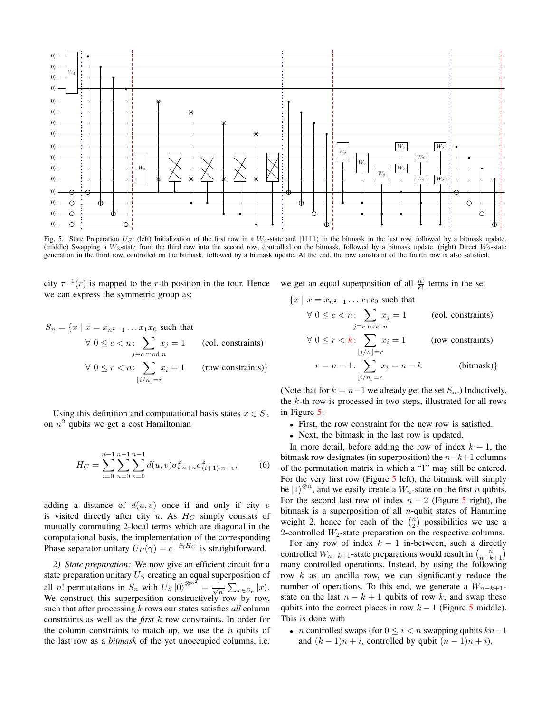

<span id="page-6-0"></span>Fig. 5. State Preparation  $U_S$ : (left) Initialization of the first row in a  $W_4$ -state and  $|1111\rangle$  in the bitmask in the last row, followed by a bitmask update. (middle) Swapping a  $W_3$ -state from the third row into the second row, controlled on the bitmask, followed by a bitmask update. (right) Direct  $W_2$ -state generation in the third row, controlled on the bitmask, followed by a bitmask update. At the end, the row constraint of the fourth row is also satisfied.

city  $\tau^{-1}(r)$  is mapped to the r-th position in the tour. Hence we can express the symmetric group as:

$$
S_n = \{x \mid x = x_{n^2 - 1} \dots x_1 x_0 \text{ such that}
$$
  
\n
$$
\forall 0 \le c < n: \sum_{j \equiv c \bmod n} x_j = 1 \text{ (col. constraints)}
$$
  
\n
$$
\forall 0 \le r < n: \sum_{\lfloor i/n \rfloor = r} x_i = 1 \text{ (row constraints)}
$$

Using this definition and computational basis states  $x \in S_n$ on  $n^2$  qubits we get a cost Hamiltonian

$$
H_C = \sum_{i=0}^{n-1} \sum_{u=0}^{n-1} \sum_{v=0}^{n-1} d(u,v) \sigma_{i,n+u}^z \sigma_{(i+1)\cdot n+v}^z,
$$
 (6)

adding a distance of  $d(u, v)$  once if and only if city v is visited directly after city u. As  $H_C$  simply consists of mutually commuting 2-local terms which are diagonal in the computational basis, the implementation of the corresponding Phase separator unitary  $U_P(\gamma) = e^{-i\gamma H_C}$  is straightforward.

*2) State preparation:* We now give an efficient circuit for a state preparation unitary  $U_S$  creating an equal superposition of all *n*! permutations in  $S_n$  with  $U_S |0\rangle^{\otimes n^2} = \frac{1}{\sqrt{n}}$  $\frac{1}{n!} \sum_{x \in S_n} |x\rangle.$ We construct this superposition constructively row by row, such that after processing k rows our states satisfies *all* column constraints as well as the *first* k row constraints. In order for the column constraints to match up, we use the  $n$  qubits of the last row as a *bitmask* of the yet unoccupied columns, i.e. we get an equal superposition of all  $\frac{n!}{k!}$  terms in the set

$$
\{x \mid x = x_{n^2 - 1} \dots x_1 x_0 \text{ such that}
$$
  
\n
$$
\forall 0 \le c < n: \sum_{j \equiv c \bmod n} x_j = 1 \qquad \text{(col. constraints)}
$$
  
\n
$$
\forall 0 < r < k: \sum_{j \equiv c \bmod n} x_j = 1 \qquad \text{(row constraints)}
$$

$$
\forall 0 \le r < k: \sum_{\lfloor i/n \rfloor = r} x_i = 1 \qquad \text{(row constraints)}
$$
\n
$$
r = n - 1: \sum_{\lfloor i/n \rfloor = r} x_i = n - k \qquad \text{(bitmask)}
$$

(Note that for  $k = n-1$  we already get the set  $S_n$ .) Inductively, the  $k$ -th row is processed in two steps, illustrated for all rows in Figure [5:](#page-6-0)

- First, the row constraint for the new row is satisfied.
- Next, the bitmask in the last row is updated.

In more detail, before adding the row of index  $k - 1$ , the bitmask row designates (in superposition) the  $n-k+1$  columns of the permutation matrix in which a "1" may still be entered. For the very first row (Figure [5](#page-6-0) left), the bitmask will simply be  $|1\rangle^{\otimes n}$ , and we easily create a  $W_n$ -state on the first *n* qubits. For the second last row of index  $n - 2$  (Figure [5](#page-6-0) right), the bitmask is a superposition of all  $n$ -qubit states of Hamming weight 2, hence for each of the  $\binom{n}{2}$  possibilities we use a 2-controlled  $W_2$ -state preparation on the respective columns.

For any row of index  $k - 1$  in-between, such a directly controlled  $W_{n-k+1}$ -state preparations would result in  $\binom{n}{n-k+1}$ many controlled operations. Instead, by using the following row  $k$  as an ancilla row, we can significantly reduce the number of operations. To this end, we generate a  $W_{n-k+1}$ state on the last  $n - k + 1$  qubits of row k, and swap these qubits into the correct places in row  $k - 1$  (Figure [5](#page-6-0) middle). This is done with

• *n* controlled swaps (for  $0 \le i < n$  swapping qubits  $kn-1$ and  $(k-1)n+i$ , controlled by qubit  $(n-1)n+i$ ,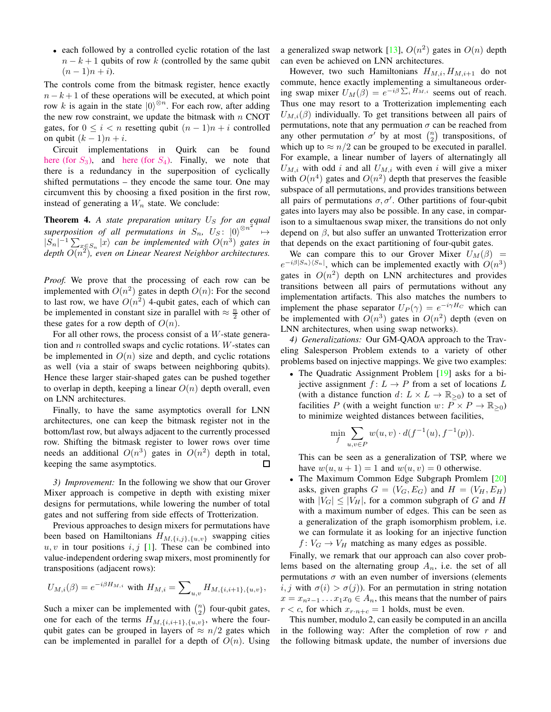• each followed by a controlled cyclic rotation of the last  $n - k + 1$  qubits of row k (controlled by the same qubit  $(n-1)n + i$ .

The controls come from the bitmask register, hence exactly  $n - k + 1$  of these operations will be executed, at which point row k is again in the state  $|0\rangle^{\otimes n}$ . For each row, after adding the new row constraint, we update the bitmask with  $n$  CNOT gates, for  $0 \le i \le n$  resetting qubit  $(n-1)n + i$  controlled on qubit  $(k - 1)n + i$ .

Circuit implementations in Quirk can be found [here \(for](https://algassert.com/quirk#circuit=%7B%22cols%22%3A%5B%5B%22~bo2r%22%2C1%2C1%2C1%2C1%2C1%2C1%2C1%2C1%2C1%2C1%2C1%2C%22X%22%2C%22X%22%2C%22X%22%2C%22X%22%5D%2C%5B%22Chance4%22%2C1%2C1%2C1%2C%22Chance4%22%2C1%2C1%2C1%2C%22Chance4%22%2C1%2C1%2C1%2C%22Chance4%22%5D%2C%5B%22%E2%80%A2%22%2C1%2C1%2C1%2C1%2C1%2C1%2C1%2C1%2C1%2C1%2C1%2C%22X%22%5D%2C%5B1%2C%22%E2%80%A2%22%2C1%2C1%2C1%2C1%2C1%2C1%2C1%2C1%2C1%2C1%2C1%2C%22X%22%5D%2C%5B1%2C1%2C%22%E2%80%A2%22%2C1%2C1%2C1%2C1%2C1%2C1%2C1%2C1%2C1%2C1%2C1%2C%22X%22%5D%2C%5B1%2C1%2C1%2C%22%E2%80%A2%22%2C1%2C1%2C1%2C1%2C1%2C1%2C1%2C1%2C1%2C1%2C1%2C%22X%22%5D%2C%5B%22Chance4%22%2C1%2C1%2C1%2C%22Chance4%22%2C1%2C1%2C1%2C%22Chance4%22%2C1%2C1%2C1%2C%22Chance4%22%5D%2C%5B1%2C1%2C1%2C1%2C1%2C1%2C1%2C1%2C1%2C%22~94a8%22%5D%2C%5B1%2C1%2C1%2C1%2C1%2C1%2C1%2C1%2C1%2C%22Chance3%22%5D%2C%5B1%2C1%2C1%2C1%2C%22Swap%22%2C1%2C1%2C1%2C1%2C1%2C1%2C%22Swap%22%2C%22%E2%80%A2%22%5D%2C%5B1%2C1%2C1%2C1%2C1%2C1%2C1%2C1%2C1%2C%22%3C%3C3%22%2C1%2C1%2C%22%E2%80%A2%22%5D%2C%5B1%2C1%2C1%2C1%2C1%2C%22Swap%22%2C1%2C1%2C1%2C1%2C1%2C%22Swap%22%2C1%2C%22%E2%80%A2%22%5D%2C%5B1%2C1%2C1%2C1%2C1%2C1%2C1%2C1%2C1%2C%22%3C%3C3%22%2C1%2C1%2C1%2C%22%E2%80%A2%22%5D%2C%5B1%2C1%2C1%2C1%2C1%2C1%2C%22Swap%22%2C1%2C1%2C1%2C1%2C%22Swap%22%2C1%2C1%2C%22%E2%80%A2%22%5D%2C%5B1%2C1%2C1%2C1%2C1%2C1%2C1%2C1%2C1%2C%22%3C%3C3%22%2C1%2C1%2C1%2C1%2C%22%E2%80%A2%22%5D%2C%5B1%2C1%2C1%2C1%2C1%2C1%2C1%2C%22Swap%22%2C1%2C1%2C1%2C%22Swap%22%2C1%2C1%2C1%2C%22%E2%80%A2%22%5D%2C%5B1%2C1%2C1%2C1%2C1%2C1%2C1%2C1%2C1%2C%22%3C%3C3%22%2C1%2C1%2C1%2C1%2C1%2C%22%E2%80%A2%22%5D%2C%5B%22Chance4%22%2C1%2C1%2C1%2C%22Chance4%22%2C1%2C1%2C1%2C%22Chance4%22%2C1%2C1%2C1%2C%22Chance4%22%5D%2C%5B1%2C1%2C1%2C1%2C%22%E2%80%A2%22%2C1%2C1%2C1%2C1%2C1%2C1%2C1%2C%22X%22%5D%2C%5B1%2C1%2C1%2C1%2C1%2C%22%E2%80%A2%22%2C1%2C1%2C1%2C1%2C1%2C1%2C1%2C%22X%22%5D%2C%5B1%2C1%2C1%2C1%2C1%2C1%2C%22%E2%80%A2%22%2C1%2C1%2C1%2C1%2C1%2C1%2C1%2C%22X%22%5D%2C%5B1%2C1%2C1%2C1%2C1%2C1%2C1%2C%22%E2%80%A2%22%2C1%2C1%2C1%2C1%2C1%2C1%2C1%2C%22X%22%5D%2C%5B%22Chance4%22%2C1%2C1%2C1%2C%22Chance4%22%2C1%2C1%2C1%2C%22Chance4%22%2C1%2C1%2C1%2C%22Chance4%22%5D%2C%5B1%2C1%2C1%2C1%2C1%2C1%2C1%2C1%2C%22~mv19%22%2C1%2C1%2C1%2C%22%E2%80%A2%22%2C%22%E2%80%A2%22%5D%2C%5B1%2C1%2C1%2C1%2C1%2C1%2C1%2C1%2C1%2C%22~mv19%22%2C1%2C1%2C1%2C%22%E2%80%A2%22%2C%22%E2%80%A2%22%5D%2C%5B1%2C1%2C1%2C1%2C1%2C1%2C1%2C1%2C1%2C1%2C%22~mv19%22%2C1%2C1%2C1%2C%22%E2%80%A2%22%2C%22%E2%80%A2%22%5D%2C%5B1%2C1%2C1%2C1%2C1%2C1%2C1%2C1%2C%22~bvbm%22%2C1%2C1%2C1%2C%22%E2%80%A2%22%2C1%2C%22%E2%80%A2%22%5D%2C%5B1%2C1%2C1%2C1%2C1%2C1%2C1%2C1%2C1%2C%22~bvbm%22%2C1%2C1%2C1%2C%22%E2%80%A2%22%2C1%2C%22%E2%80%A2%22%5D%2C%5B1%2C1%2C1%2C1%2C1%2C1%2C1%2C1%2C%22~plrr%22%2C1%2C1%2C1%2C%22%E2%80%A2%22%2C1%2C1%2C%22%E2%80%A2%22%5D%2C%5B%22Chance4%22%2C1%2C1%2C1%2C%22Chance4%22%2C1%2C1%2C1%2C%22Chance4%22%2C1%2C1%2C1%2C%22Chance4%22%5D%2C%5B1%2C1%2C1%2C1%2C1%2C1%2C1%2C1%2C%22%E2%80%A2%22%2C1%2C1%2C1%2C%22X%22%5D%2C%5B1%2C1%2C1%2C1%2C1%2C1%2C1%2C1%2C1%2C%22%E2%80%A2%22%2C1%2C1%2C1%2C%22X%22%5D%2C%5B1%2C1%2C1%2C1%2C1%2C1%2C1%2C1%2C1%2C1%2C%22%E2%80%A2%22%2C1%2C1%2C1%2C%22X%22%5D%2C%5B1%2C1%2C1%2C1%2C1%2C1%2C1%2C1%2C1%2C1%2C1%2C%22%E2%80%A2%22%2C1%2C1%2C1%2C%22X%22%5D%2C%5B%22Chance4%22%2C1%2C1%2C1%2C%22Chance4%22%2C1%2C1%2C1%2C%22Chance4%22%2C1%2C1%2C1%2C%22Chance4%22%5D%5D%2C%22gates%22%3A%5B%7B%22id%22%3A%22~590m%22%2C%22name%22%3A%22%E2%88%9A1%2F3%22%2C%22matrix%22%3A%22%7B%7B%E2%88%9A%E2%85%93%2C-%E2%88%9A%E2%85%94%7D%2C%7B%E2%88%9A%E2%85%94%2C%E2%88%9A%E2%85%93%7D%7D%22%7D%2C%7B%22id%22%3A%22~bo2r%22%2C%22name%22%3A%22W4%22%2C%22circuit%22%3A%7B%22cols%22%3A%5B%5B%22X%22%5D%2C%5B%22%E2%80%A2%22%2C%22H%22%5D%2C%5B%22X%22%2C%22%E2%80%A2%22%2C%22H%22%5D%2C%5B1%2C%22X%22%2C%22%E2%80%A2%22%5D%2C%5B%22%E2%80%A2%22%2C1%2C1%2C%22H%22%5D%2C%5B%22X%22%2C1%2C1%2C%22%E2%80%A2%22%5D%5D%7D%7D%2C%7B%22id%22%3A%22~94a8%22%2C%22name%22%3A%22W3%22%2C%22circuit%22%3A%7B%22cols%22%3A%5B%5B%22X%22%5D%2C%5B%22%E2%80%A2%22%2C%22~590m%22%5D%2C%5B%22X%22%2C%22%E2%80%A2%22%2C%22H%22%5D%2C%5B1%2C%22X%22%2C%22%E2%80%A2%22%5D%5D%7D%7D%2C%7B%22id%22%3A%22~mv19%22%2C%22name%22%3A%22W2%22%2C%22circuit%22%3A%7B%22cols%22%3A%5B%5B%22X%22%5D%2C%5B%22%E2%80%A2%22%2C%22H%22%5D%2C%5B%22X%22%2C%22%E2%80%A2%22%5D%5D%7D%7D%2C%7B%22id%22%3A%22~bvbm%22%2C%22name%22%3A%22W2)  $S_3$ ), and here (for  $S_4$ ). Finally, we note that there is a redundancy in the superposition of cyclically shifted permutations – they encode the same tour. One may circumvent this by choosing a fixed position in the first row, instead of generating a  $W_n$  state. We conclude:

**Theorem 4.** A state preparation unitary  $U<sub>S</sub>$  for an equal superposition of all permutations in  $S_n$ ,  $U_S$ :  $|0\rangle^{\otimes n^2}$  $\mapsto$  $|S_n|^{-1} \sum_{x \in S_n} |x\rangle$  can be implemented with  $O(n^3)$  gates in *depth* O(n 2 )*, even on Linear Nearest Neighbor architectures.*

*Proof.* We prove that the processing of each row can be implemented with  $O(n^2)$  gates in depth  $O(n)$ : For the second to last row, we have  $O(n^2)$  4-qubit gates, each of which can be implemented in constant size in parallel with  $\approx \frac{n}{2}$  other of these gates for a row depth of  $O(n)$ .

For all other rows, the process consist of a  $W$ -state generation and  $n$  controlled swaps and cyclic rotations.  $W$ -states can be implemented in  $O(n)$  size and depth, and cyclic rotations as well (via a stair of swaps between neighboring qubits). Hence these larger stair-shaped gates can be pushed together to overlap in depth, keeping a linear  $O(n)$  depth overall, even on LNN architectures.

Finally, to have the same asymptotics overall for LNN architectures, one can keep the bitmask register not in the bottom/last row, but always adjacent to the currently processed row. Shifting the bitmask register to lower rows over time needs an additional  $O(n^3)$  gates in  $O(n^2)$  depth in total, keeping the same asymptotics.  $\Box$ 

*3) Improvement:* In the following we show that our Grover Mixer approach is competive in depth with existing mixer designs for permutations, while lowering the number of total gates and not suffering from side effects of Trotterization.

Previous approaches to design mixers for permutations have been based on Hamiltonians  $H_{M,\{i,j\},\{u,v\}}$  swapping cities  $u, v$  in tour positions  $i, j$  [\[1\]](#page-9-0). These can be combined into value-independent ordering swap mixers, most prominently for transpositions (adjacent rows):

$$
U_{M,i}(\beta) = e^{-i\beta H_{M,i}} \text{ with } H_{M,i} = \sum\nolimits_{u,v} H_{M,\{i,i+1\},\{u,v\}},
$$

Such a mixer can be implemented with  $\binom{n}{2}$  four-qubit gates, one for each of the terms  $H_{M,\{i,i+1\},\{u,v\}}$ , where the fourqubit gates can be grouped in layers of  $\approx n/2$  gates which can be implemented in parallel for a depth of  $O(n)$ . Using

a generalized swap network [\[13\]](#page-9-12),  $O(n^2)$  gates in  $O(n)$  depth can even be achieved on LNN architectures.

However, two such Hamiltonians  $H_{M,i}$ ,  $H_{M,i+1}$  do not commute, hence exactly implementing a simultaneous ordering swap mixer  $U_M(\beta) = e^{-i\beta \sum_i H_{M,i}}$  seems out of reach. Thus one may resort to a Trotterization implementing each  $U_{M,i}(\beta)$  individually. To get transitions between all pairs of permutations, note that any permuation  $\sigma$  can be reached from any other permutation  $\sigma'$  by at most  $\binom{n}{2}$  transpositions, of which up to  $\approx n/2$  can be grouped to be executed in parallel. For example, a linear number of layers of alternatingly all  $U_{M,i}$  with odd i and all  $U_{M,i}$  with even i will give a mixer with  $O(n^4)$  gates and  $O(n^2)$  depth that preserves the feasible subspace of all permutations, and provides transitions between all pairs of permutations  $\sigma, \sigma'$ . Other partitions of four-qubit gates into layers may also be possible. In any case, in comparison to a simultaenous swap mixer, the transitions do not only depend on  $\beta$ , but also suffer an unwanted Trotterization error that depends on the exact partitioning of four-qubit gates.

We can compare this to our Grover Mixer  $U_M(\beta)$  =  $e^{-i\beta|S_n\rangle\langle S_n|}$ , which can be implemented exactly with  $O(n^3)$ gates in  $O(n^2)$  depth on LNN architectures and provides transitions between all pairs of permutations without any implementation artifacts. This also matches the numbers to implement the phase separator  $U_P(\gamma) = e^{-i\gamma H_C}$  which can be implemented with  $O(n^3)$  gates in  $O(n^2)$  depth (even on LNN architectures, when using swap networks).

*4) Generalizations:* Our GM-QAOA approach to the Traveling Salesperson Problem extends to a variety of other problems based on injective mappings. We give two examples:

• The Quadratic Assignment Problem [\[19\]](#page-9-18) asks for a bijective assignment  $f: L \to P$  from a set of locations L (with a distance function  $d: L \times L \to \mathbb{R}_{\geq 0}$ ) to a set of facilities P (with a weight function  $w: P \times P \rightarrow \mathbb{R}_{\geq 0}$ ) to minimize weighted distances between facilities,

$$
\min_{f} \sum_{u,v \in P} w(u,v) \cdot d(f^{-1}(u), f^{-1}(p)).
$$

This can be seen as a generalization of TSP, where we have  $w(u, u + 1) = 1$  and  $w(u, v) = 0$  otherwise.

• The Maximum Common Edge Subgraph Promlem [\[20\]](#page-9-19) asks, given graphs  $G = (V_G, E_G)$  and  $H = (V_H, E_H)$ with  $|V_G| \leq |V_H|$ , for a common subgraph of G and H with a maximum number of edges. This can be seen as a generalization of the graph isomorphism problem, i.e. we can formulate it as looking for an injective function  $f: V_G \to V_H$  matching as many edges as possible.

Finally, we remark that our approach can also cover problems based on the alternating group  $A_n$ , i.e. the set of all permutations  $\sigma$  with an even number of inversions (elements i, j with  $\sigma(i) > \sigma(j)$ ). For an permutation in string notation  $x = x_{n^2-1} \dots x_1 x_0 \in A_n$ , this means that the number of pairs  $r < c$ , for which  $x_{r:n+c} = 1$  holds, must be even.

This number, modulo 2, can easily be computed in an ancilla in the following way: After the completion of row  $r$  and the following bitmask update, the number of inversions due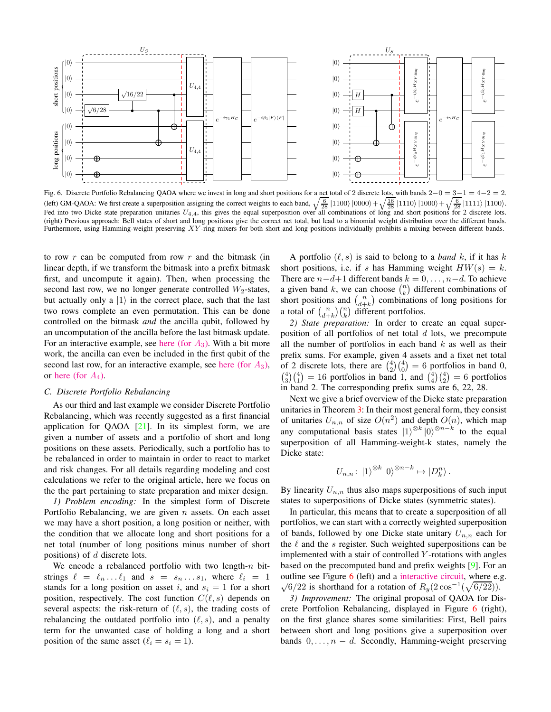

<span id="page-8-0"></span>Fig. 6. Discrete Portfolio Rebalancing QAOA where we invest in long and short positions for a net total of 2 discrete lots, with bands  $2-0 = 3-1 = 4-2 = 2$ . (left) GM-QAOA: We first create a superposition assigning the correct weights to each band,  $\sqrt{\frac{6}{28}}$  |1100\ |0000\ +  $\sqrt{\frac{16}{28}}$  |1110\ |1000\ +  $\sqrt{\frac{6}{28}}$  |1111\ |1100\. Fed into two Dicke state preparation unitaries  $U_{4,4}$ , this gives the equal superposition over all combinations of long and short positions for 2 discrete lots. (right) Previous approach: Bell states of short and long positions give the correct net total, but lead to a binomial weight distribution over the different bands. Furthermore, using Hamming-weight preserving XY-ring mixers for both short and long positions individually prohibits a mixing between different bands.

to row  $r$  can be computed from row  $r$  and the bitmask (in linear depth, if we transform the bitmask into a prefix bitmask first, and uncompute it again). Then, when processing the second last row, we no longer generate controlled  $W_2$ -states, but actually only a  $|1\rangle$  in the correct place, such that the last two rows complete an even permutation. This can be done controlled on the bitmask *and* the ancilla qubit, followed by an uncomputation of the ancilla before the last bitmask update. For an interactive example, see [here \(for](https://algassert.com/quirk#circuit=%7B%22cols%22%3A%5B%5B%22~94a8%22%2C1%2C1%2C1%2C1%2C1%2C%22X%22%2C%22X%22%2C%22X%22%5D%2C%5B%22Chance3%22%2C1%2C1%2C%22Chance3%22%2C1%2C1%2C%22Chance3%22%2C1%2C1%2C%22Chance%22%5D%2C%5B%22%E2%80%A2%22%2C1%2C1%2C1%2C1%2C1%2C%22X%22%5D%2C%5B1%2C%22%E2%80%A2%22%2C1%2C1%2C1%2C1%2C1%2C%22X%22%5D%2C%5B1%2C1%2C%22%E2%80%A2%22%2C1%2C1%2C1%2C1%2C1%2C%22X%22%5D%2C%5B%22Chance3%22%2C1%2C1%2C%22Chance3%22%2C1%2C1%2C%22Chance3%22%2C1%2C1%2C%22Chance%22%5D%2C%5B1%2C1%2C1%2C1%2C1%2C1%2C%22%E2%80%A2%22%2C%22X%22%5D%2C%5B1%2C1%2C1%2C1%2C1%2C1%2C1%2C%22%E2%80%A2%22%2C%22X%22%5D%2C%5B1%2C%22%E2%80%A2%22%2C1%2C1%2C1%2C1%2C%22%E2%80%A2%22%2C1%2C1%2C%22X%22%5D%2C%5B1%2C1%2C%22%E2%80%A2%22%2C1%2C1%2C1%2C1%2C%22%E2%80%A2%22%2C1%2C%22X%22%5D%2C%5B1%2C1%2C1%2C1%2C1%2C1%2C1%2C%22%E2%80%A2%22%2C%22X%22%5D%2C%5B1%2C1%2C1%2C1%2C1%2C1%2C%22%E2%80%A2%22%2C%22X%22%5D%2C%5B%22Chance3%22%2C1%2C1%2C%22Chance3%22%2C1%2C1%2C%22Chance3%22%2C1%2C1%2C%22Chance%22%5D%2C%5B1%2C1%2C1%2C1%2C%22X%22%2C1%2C%22%E2%80%A2%22%2C%22%E2%80%A2%22%2C1%2C%22%E2%80%A2%22%5D%2C%5B1%2C1%2C1%2C%22X%22%2C1%2C1%2C%22%E2%80%A2%22%2C%22%E2%80%A2%22%2C1%2C%22%E2%97%A6%22%5D%2C%5B1%2C1%2C1%2C1%2C1%2C%22X%22%2C1%2C%22%E2%80%A2%22%2C%22%E2%80%A2%22%2C%22%E2%80%A2%22%5D%2C%5B1%2C1%2C1%2C1%2C%22X%22%2C1%2C1%2C%22%E2%80%A2%22%2C%22%E2%80%A2%22%2C%22%E2%97%A6%22%5D%2C%5B1%2C1%2C1%2C1%2C1%2C%22X%22%2C%22%E2%80%A2%22%2C1%2C%22%E2%80%A2%22%2C%22%E2%80%A2%22%5D%2C%5B1%2C1%2C1%2C%22X%22%2C1%2C1%2C%22%E2%80%A2%22%2C1%2C%22%E2%80%A2%22%2C%22%E2%97%A6%22%5D%2C%5B%22Chance3%22%2C1%2C1%2C%22Chance3%22%2C1%2C1%2C%22Chance3%22%2C1%2C1%2C%22Chance%22%5D%2C%5B1%2C1%2C1%2C1%2C%22%E2%80%A2%22%2C1%2C%22%E2%80%A2%22%2C%22%E2%80%A2%22%2C1%2C%22X%22%5D%2C%5B1%2C1%2C1%2C1%2C1%2C%22%E2%80%A2%22%2C1%2C%22%E2%80%A2%22%2C%22%E2%80%A2%22%2C%22X%22%5D%2C%5B1%2C1%2C1%2C1%2C1%2C%22%E2%80%A2%22%2C%22%E2%80%A2%22%2C1%2C%22%E2%80%A2%22%2C%22X%22%5D%2C%5B%22Chance3%22%2C1%2C1%2C%22Chance3%22%2C1%2C1%2C%22Chance3%22%2C1%2C1%2C%22Chance%22%5D%2C%5B1%2C1%2C1%2C%22%E2%80%A2%22%2C1%2C1%2C%22X%22%5D%2C%5B1%2C1%2C1%2C1%2C%22%E2%80%A2%22%2C1%2C1%2C%22X%22%5D%2C%5B1%2C1%2C1%2C1%2C1%2C%22%E2%80%A2%22%2C1%2C1%2C%22X%22%5D%2C%5B%22Chance3%22%2C1%2C1%2C%22Chance3%22%2C1%2C1%2C%22Chance3%22%2C1%2C1%2C%22Chance%22%5D%2C%5B%22%E2%80%A6%22%5D%2C%5B%22Chance%22%2C%22Chance%22%2C%22Chance%22%2C%22Chance%22%2C%22Chance%22%2C%22Chance%22%2C%22Chance%22%2C%22Chance%22%2C%22Chance%22%5D%2C%5B%22Bloch%22%2C%22Bloch%22%2C%22Bloch%22%2C%22Bloch%22%2C%22Bloch%22%2C%22Bloch%22%2C%22Bloch%22%2C%22Bloch%22%2C%22Bloch%22%5D%2C%5B%22Amps9%22%5D%5D%2C%22gates%22%3A%5B%7B%22id%22%3A%22~590m%22%2C%22name%22%3A%22%E2%88%9A1%2F3%22%2C%22matrix%22%3A%22%7B%7B%E2%88%9A%E2%85%93%2C-%E2%88%9A%E2%85%94%7D%2C%7B%E2%88%9A%E2%85%94%2C%E2%88%9A%E2%85%93%7D%7D%22%7D%2C%7B%22id%22%3A%22~94a8%22%2C%22name%22%3A%22W3%22%2C%22circuit%22%3A%7B%22cols%22%3A%5B%5B%22X%22%5D%2C%5B%22%E2%80%A2%22%2C%22~590m%22%5D%2C%5B%22X%22%2C%22%E2%80%A2%22%2C%22H%22%5D%2C%5B1%2C%22X%22%2C%22%E2%80%A2%22%5D%5D%7D%7D%2C%7B%22id%22%3A%22~mv19%22%2C%22name%22%3A%22W2%22%2C%22circuit%22%3A%7B%22cols%22%3A%5B%5B%22X%22%5D%2C%5B%22%E2%80%A2%22%2C%22H%22%5D%2C%5B%22X%22%2C%22%E2%80%A2%22%5D%5D%7D%7D%2C%7B%22id%22%3A%22~bvbm%22%2C%22name%22%3A%22W2)  $A_3$ ). With a bit more work, the ancilla can even be included in the first qubit of the second last row, for an interactive example, see [here \(for](https://algassert.com/quirk#circuit=%7B%22cols%22%3A%5B%5B%22~94a8%22%2C1%2C1%2C1%2C1%2C1%2C%22X%22%2C%22X%22%2C%22X%22%5D%2C%5B%22Chance3%22%2C1%2C1%2C%22Chance3%22%2C1%2C1%2C%22Chance3%22%2C1%2C1%2C%22Chance%22%5D%2C%5B%22%E2%80%A2%22%2C1%2C1%2C1%2C1%2C1%2C%22X%22%5D%2C%5B1%2C%22%E2%80%A2%22%2C1%2C1%2C1%2C1%2C1%2C%22X%22%5D%2C%5B1%2C1%2C%22%E2%80%A2%22%2C1%2C1%2C1%2C1%2C1%2C%22X%22%5D%2C%5B%22Chance3%22%2C1%2C1%2C%22Chance3%22%2C1%2C1%2C%22Chance3%22%2C1%2C1%2C%22Chance%22%5D%2C%5B1%2C1%2C1%2C1%2C1%2C1%2C%22%E2%80%A2%22%2C%22X%22%5D%2C%5B1%2C1%2C1%2C1%2C1%2C1%2C1%2C%22%E2%80%A2%22%2C%22X%22%5D%2C%5B1%2C%22%E2%80%A2%22%2C1%2C%22X%22%2C1%2C1%2C%22%E2%80%A2%22%5D%2C%5B1%2C1%2C%22%E2%80%A2%22%2C%22X%22%2C1%2C1%2C1%2C%22%E2%80%A2%22%5D%2C%5B1%2C1%2C1%2C1%2C1%2C1%2C1%2C%22%E2%80%A2%22%2C%22X%22%5D%2C%5B1%2C1%2C1%2C1%2C1%2C1%2C%22%E2%80%A2%22%2C%22X%22%5D%2C%5B%22Chance3%22%2C1%2C1%2C%22Chance3%22%2C1%2C1%2C%22Chance3%22%2C1%2C1%2C%22Chance%22%5D%2C%5B1%2C1%2C1%2C%22%E2%80%A2%22%2C%22X%22%2C1%2C%22%E2%80%A2%22%2C%22%E2%80%A2%22%5D%2C%5B1%2C1%2C1%2C%22%E2%80%A2%22%2C1%2C%22X%22%2C%22%E2%80%A2%22%2C1%2C%22%E2%80%A2%22%5D%2C%5B1%2C1%2C1%2C%22%E2%80%A2%22%2C1%2C%22X%22%2C1%2C%22%E2%80%A2%22%2C%22%E2%80%A2%22%5D%2C%5B1%2C1%2C1%2C%22%E2%97%A6%22%2C%22X%22%2C1%2C1%2C%22%E2%80%A2%22%2C%22%E2%80%A2%22%5D%2C%5B%22Chance3%22%2C1%2C1%2C%22Chance3%22%2C1%2C1%2C%22Chance3%22%2C1%2C1%2C%22Chance%22%5D%2C%5B1%2C1%2C1%2C%22X%22%2C1%2C1%2C%22%E2%80%A2%22%2C%22%E2%80%A2%22%5D%2C%5B1%2C1%2C1%2C%22X%22%2C1%2C1%2C%22%E2%80%A2%22%2C1%2C%22%E2%80%A2%22%5D%2C%5B1%2C1%2C1%2C%22X%22%2C1%2C%22%E2%80%A2%22%2C1%2C%22%E2%80%A2%22%2C%22%E2%80%A2%22%5D%2C%5B%22Chance3%22%2C1%2C1%2C%22Chance3%22%2C1%2C1%2C%22Chance3%22%2C1%2C1%2C%22Chance%22%5D%2C%5B1%2C1%2C1%2C%22%E2%80%A2%22%2C1%2C1%2C%22X%22%5D%2C%5B1%2C1%2C1%2C1%2C%22%E2%80%A2%22%2C1%2C1%2C%22X%22%5D%2C%5B1%2C1%2C1%2C1%2C1%2C%22%E2%80%A2%22%2C1%2C1%2C%22X%22%5D%2C%5B%22Chance3%22%2C1%2C1%2C%22Chance3%22%2C1%2C1%2C%22Chance3%22%2C1%2C1%2C%22Chance%22%5D%2C%5B%22%E2%80%A6%22%5D%2C%5B%22Chance%22%2C%22Chance%22%2C%22Chance%22%2C%22Chance%22%2C%22Chance%22%2C%22Chance%22%2C%22Chance%22%2C%22Chance%22%2C%22Chance%22%5D%2C%5B%22Bloch%22%2C%22Bloch%22%2C%22Bloch%22%2C%22Bloch%22%2C%22Bloch%22%2C%22Bloch%22%2C%22Bloch%22%2C%22Bloch%22%2C%22Bloch%22%5D%2C%5B%22Amps9%22%5D%5D%2C%22gates%22%3A%5B%7B%22id%22%3A%22~590m%22%2C%22name%22%3A%22%E2%88%9A1%2F3%22%2C%22matrix%22%3A%22%7B%7B%E2%88%9A%E2%85%93%2C-%E2%88%9A%E2%85%94%7D%2C%7B%E2%88%9A%E2%85%94%2C%E2%88%9A%E2%85%93%7D%7D%22%7D%2C%7B%22id%22%3A%22~94a8%22%2C%22name%22%3A%22W3%22%2C%22circuit%22%3A%7B%22cols%22%3A%5B%5B%22X%22%5D%2C%5B%22%E2%80%A2%22%2C%22~590m%22%5D%2C%5B%22X%22%2C%22%E2%80%A2%22%2C%22H%22%5D%2C%5B1%2C%22X%22%2C%22%E2%80%A2%22%5D%5D%7D%7D%2C%7B%22id%22%3A%22~mv19%22%2C%22name%22%3A%22W2%22%2C%22circuit%22%3A%7B%22cols%22%3A%5B%5B%22X%22%5D%2C%5B%22%E2%80%A2%22%2C%22H%22%5D%2C%5B%22X%22%2C%22%E2%80%A2%22%5D%5D%7D%7D%2C%7B%22id%22%3A%22~bvbm%22%2C%22name%22%3A%22W2)  $A_3$ ), or [here \(for](https://algassert.com/quirk#circuit=%7B%22cols%22%3A%5B%5B%22~bo2r%22%2C1%2C1%2C1%2C1%2C1%2C1%2C1%2C1%2C1%2C1%2C1%2C%22X%22%2C%22X%22%2C%22X%22%2C%22X%22%5D%2C%5B%22Chance4%22%2C1%2C1%2C1%2C%22Chance4%22%2C1%2C1%2C1%2C%22Chance4%22%2C1%2C1%2C1%2C%22Chance4%22%5D%2C%5B%22%E2%80%A2%22%2C1%2C1%2C1%2C1%2C1%2C1%2C1%2C1%2C1%2C1%2C1%2C%22X%22%5D%2C%5B1%2C%22%E2%80%A2%22%2C1%2C1%2C1%2C1%2C1%2C1%2C1%2C1%2C1%2C1%2C1%2C%22X%22%5D%2C%5B1%2C1%2C%22%E2%80%A2%22%2C1%2C1%2C1%2C1%2C1%2C1%2C1%2C1%2C1%2C1%2C1%2C%22X%22%5D%2C%5B1%2C1%2C1%2C%22%E2%80%A2%22%2C1%2C1%2C1%2C1%2C1%2C1%2C1%2C1%2C1%2C1%2C1%2C%22X%22%5D%2C%5B%22Chance4%22%2C1%2C1%2C1%2C%22Chance4%22%2C1%2C1%2C1%2C%22Chance4%22%2C1%2C1%2C1%2C%22Chance4%22%5D%2C%5B1%2C1%2C1%2C1%2C1%2C1%2C1%2C1%2C1%2C1%2C1%2C1%2C%22%E2%80%A2%22%2C%22X%22%5D%2C%5B1%2C1%2C1%2C1%2C1%2C1%2C1%2C1%2C1%2C1%2C1%2C1%2C1%2C%22%E2%80%A2%22%2C%22X%22%5D%2C%5B1%2C%22%E2%80%A2%22%2C1%2C1%2C1%2C1%2C1%2C1%2C%22X%22%2C1%2C1%2C1%2C%22%E2%80%A2%22%5D%2C%5B1%2C1%2C%22%E2%80%A2%22%2C1%2C1%2C1%2C1%2C1%2C%22X%22%2C1%2C1%2C1%2C1%2C%22%E2%80%A2%22%5D%2C%5B1%2C1%2C1%2C%22%E2%80%A2%22%2C1%2C1%2C1%2C1%2C%22X%22%2C1%2C1%2C1%2C1%2C1%2C%22%E2%80%A2%22%5D%2C%5B1%2C1%2C1%2C1%2C1%2C1%2C1%2C1%2C1%2C1%2C1%2C1%2C1%2C%22%E2%80%A2%22%2C%22X%22%5D%2C%5B1%2C1%2C1%2C1%2C1%2C1%2C1%2C1%2C1%2C1%2C1%2C1%2C%22%E2%80%A2%22%2C%22X%22%5D%2C%5B%22Chance4%22%2C1%2C1%2C1%2C%22Chance4%22%2C1%2C1%2C1%2C%22Chance4%22%2C1%2C1%2C1%2C%22Chance4%22%5D%2C%5B1%2C1%2C1%2C1%2C1%2C1%2C1%2C1%2C1%2C%22~94a8%22%5D%2C%5B1%2C1%2C1%2C1%2C1%2C1%2C1%2C1%2C1%2C%22Chance3%22%5D%2C%5B1%2C1%2C1%2C1%2C%22Swap%22%2C1%2C1%2C1%2C1%2C1%2C1%2C%22Swap%22%2C%22%E2%80%A2%22%5D%2C%5B1%2C1%2C1%2C1%2C1%2C1%2C1%2C1%2C1%2C%22%3C%3C3%22%2C1%2C1%2C%22%E2%80%A2%22%5D%2C%5B1%2C1%2C1%2C1%2C1%2C%22Swap%22%2C1%2C1%2C1%2C1%2C1%2C%22Swap%22%2C1%2C%22%E2%80%A2%22%5D%2C%5B1%2C1%2C1%2C1%2C1%2C1%2C1%2C1%2C1%2C%22%3C%3C3%22%2C1%2C1%2C1%2C%22%E2%80%A2%22%5D%2C%5B1%2C1%2C1%2C1%2C1%2C1%2C%22Swap%22%2C1%2C1%2C1%2C1%2C%22Swap%22%2C1%2C1%2C%22%E2%80%A2%22%5D%2C%5B1%2C1%2C1%2C1%2C1%2C1%2C1%2C1%2C1%2C%22%3C%3C3%22%2C1%2C1%2C1%2C1%2C%22%E2%80%A2%22%5D%2C%5B1%2C1%2C1%2C1%2C1%2C1%2C1%2C%22Swap%22%2C1%2C1%2C1%2C%22Swap%22%2C1%2C1%2C1%2C%22%E2%80%A2%22%5D%2C%5B1%2C1%2C1%2C1%2C1%2C1%2C1%2C1%2C1%2C%22%3C%3C3%22%2C1%2C1%2C1%2C1%2C1%2C%22%E2%80%A2%22%5D%2C%5B%22Chance4%22%2C1%2C1%2C1%2C%22Chance4%22%2C1%2C1%2C1%2C%22Chance4%22%2C1%2C1%2C1%2C%22Chance4%22%5D%2C%5B1%2C1%2C1%2C1%2C%22%E2%80%A2%22%2C1%2C1%2C1%2C1%2C1%2C1%2C1%2C%22X%22%5D%2C%5B1%2C1%2C1%2C1%2C1%2C%22%E2%80%A2%22%2C1%2C1%2C1%2C1%2C1%2C1%2C1%2C%22X%22%5D%2C%5B1%2C1%2C1%2C1%2C1%2C1%2C%22%E2%80%A2%22%2C1%2C1%2C1%2C1%2C1%2C1%2C1%2C%22X%22%5D%2C%5B1%2C1%2C1%2C1%2C1%2C1%2C1%2C%22%E2%80%A2%22%2C1%2C1%2C1%2C1%2C1%2C1%2C1%2C%22X%22%5D%2C%5B%22Chance4%22%2C1%2C1%2C1%2C%22Chance4%22%2C1%2C1%2C1%2C%22Chance4%22%2C1%2C1%2C1%2C%22Chance4%22%5D%2C%5B1%2C1%2C1%2C1%2C1%2C1%2C1%2C1%2C1%2C1%2C1%2C1%2C%22%E2%80%A2%22%2C%22X%22%5D%2C%5B1%2C1%2C1%2C1%2C1%2C1%2C1%2C1%2C1%2C1%2C1%2C1%2C1%2C%22%E2%80%A2%22%2C%22X%22%5D%2C%5B1%2C1%2C1%2C1%2C1%2C%22%E2%80%A2%22%2C1%2C1%2C%22X%22%2C1%2C1%2C1%2C%22%E2%80%A2%22%5D%2C%5B1%2C1%2C1%2C1%2C1%2C1%2C%22%E2%80%A2%22%2C1%2C%22X%22%2C1%2C1%2C1%2C1%2C%22%E2%80%A2%22%5D%2C%5B1%2C1%2C1%2C1%2C1%2C1%2C1%2C%22%E2%80%A2%22%2C%22X%22%2C1%2C1%2C1%2C1%2C1%2C%22%E2%80%A2%22%5D%2C%5B1%2C1%2C1%2C1%2C1%2C1%2C1%2C1%2C1%2C1%2C1%2C1%2C1%2C%22%E2%80%A2%22%2C%22X%22%5D%2C%5B1%2C1%2C1%2C1%2C1%2C1%2C1%2C1%2C1%2C1%2C1%2C1%2C%22%E2%80%A2%22%2C%22X%22%5D%2C%5B%22Chance4%22%2C1%2C1%2C1%2C%22Chance4%22%2C1%2C1%2C1%2C%22Chance4%22%2C1%2C1%2C1%2C%22Chance4%22%5D%2C%5B1%2C1%2C1%2C1%2C1%2C1%2C1%2C1%2C%22%E2%80%A2%22%2C%22X%22%2C1%2C1%2C%22%E2%80%A2%22%2C%22%E2%80%A2%22%5D%2C%5B1%2C1%2C1%2C1%2C1%2C1%2C1%2C1%2C%22%E2%80%A2%22%2C1%2C%22X%22%2C1%2C%22%E2%80%A2%22%2C1%2C%22%E2%80%A2%22%5D%2C%5B1%2C1%2C1%2C1%2C1%2C1%2C1%2C1%2C%22%E2%80%A2%22%2C1%2C1%2C%22X%22%2C%22%E2%80%A2%22%2C1%2C1%2C%22%E2%80%A2%22%5D%2C%5B1%2C1%2C1%2C1%2C1%2C1%2C1%2C1%2C%22%E2%80%A2%22%2C1%2C%22X%22%2C1%2C1%2C%22%E2%80%A2%22%2C%22%E2%80%A2%22%5D%2C%5B1%2C1%2C1%2C1%2C1%2C1%2C1%2C1%2C%22%E2%97%A6%22%2C%22X%22%2C1%2C1%2C1%2C%22%E2%80%A2%22%2C%22%E2%80%A2%22%5D%2C%5B1%2C1%2C1%2C1%2C1%2C1%2C1%2C1%2C%22%E2%80%A2%22%2C1%2C1%2C%22X%22%2C1%2C1%2C%22%E2%80%A2%22%2C%22%E2%80%A2%22%5D%2C%5B1%2C1%2C1%2C1%2C1%2C1%2C1%2C1%2C%22%E2%97%A6%22%2C1%2C%22X%22%2C1%2C1%2C1%2C%22%E2%80%A2%22%2C%22%E2%80%A2%22%5D%2C%5B1%2C1%2C1%2C1%2C1%2C1%2C1%2C1%2C%22%E2%80%A2%22%2C1%2C1%2C%22X%22%2C1%2C%22%E2%80%A2%22%2C1%2C%22%E2%80%A2%22%5D%2C%5B1%2C1%2C1%2C1%2C1%2C1%2C1%2C1%2C%22%E2%97%A6%22%2C%22X%22%2C1%2C1%2C1%2C%22%E2%80%A2%22%2C1%2C%22%E2%80%A2%22%5D%2C%5B%22Chance4%22%2C1%2C1%2C1%2C%22Chance4%22%2C1%2C1%2C1%2C%22Chance4%22%2C1%2C1%2C1%2C%22Chance4%22%5D%2C%5B1%2C1%2C1%2C1%2C1%2C1%2C1%2C1%2C%22X%22%2C1%2C1%2C1%2C%22%E2%80%A2%22%2C%22%E2%80%A2%22%5D%2C%5B1%2C1%2C1%2C1%2C1%2C1%2C1%2C1%2C%22X%22%2C1%2C1%2C1%2C%22%E2%80%A2%22%2C1%2C%22%E2%80%A2%22%5D%2C%5B1%2C1%2C1%2C1%2C1%2C1%2C1%2C1%2C%22X%22%2C1%2C1%2C1%2C%22%E2%80%A2%22%2C1%2C1%2C%22%E2%80%A2%22%5D%2C%5B1%2C1%2C1%2C1%2C1%2C1%2C1%2C1%2C%22X%22%2C1%2C%22%E2%80%A2%22%2C1%2C1%2C%22%E2%80%A2%22%2C%22%E2%80%A2%22%5D%2C%5B1%2C1%2C1%2C1%2C1%2C1%2C1%2C1%2C%22X%22%2C1%2C1%2C%22%E2%80%A2%22%2C1%2C1%2C%22%E2%80%A2%22%2C%22%E2%80%A2%22%5D%2C%5B1%2C1%2C1%2C1%2C1%2C1%2C1%2C1%2C%22X%22%2C1%2C1%2C%22%E2%80%A2%22%2C1%2C%22%E2%80%A2%22%2C1%2C%22%E2%80%A2%22%5D%2C%5B%22Chance4%22%2C1%2C1%2C1%2C%22Chance4%22%2C1%2C1%2C1%2C%22Chance4%22%2C1%2C1%2C1%2C%22Chance4%22%5D%2C%5B1%2C1%2C1%2C1%2C1%2C1%2C1%2C1%2C%22%E2%80%A2%22%2C1%2C1%2C1%2C%22X%22%5D%2C%5B1%2C1%2C1%2C1%2C1%2C1%2C1%2C1%2C1%2C%22%E2%80%A2%22%2C1%2C1%2C1%2C%22X%22%5D%2C%5B1%2C1%2C1%2C1%2C1%2C1%2C1%2C1%2C1%2C1%2C%22%E2%80%A2%22%2C1%2C1%2C1%2C%22X%22%5D%2C%5B1%2C1%2C1%2C1%2C1%2C1%2C1%2C1%2C1%2C1%2C1%2C%22%E2%80%A2%22%2C1%2C1%2C1%2C%22X%22%5D%2C%5B%22Chance4%22%2C1%2C1%2C1%2C%22Chance4%22%2C1%2C1%2C1%2C%22Chance4%22%2C1%2C1%2C1%2C%22Chance4%22%5D%5D%2C%22gates%22%3A%5B%7B%22id%22%3A%22~590m%22%2C%22name%22%3A%22%E2%88%9A1%2F3%22%2C%22matrix%22%3A%22%7B%7B%E2%88%9A%E2%85%93%2C-%E2%88%9A%E2%85%94%7D%2C%7B%E2%88%9A%E2%85%94%2C%E2%88%9A%E2%85%93%7D%7D%22%7D%2C%7B%22id%22%3A%22~bo2r%22%2C%22name%22%3A%22W4%22%2C%22circuit%22%3A%7B%22cols%22%3A%5B%5B%22X%22%5D%2C%5B%22%E2%80%A2%22%2C%22H%22%5D%2C%5B%22X%22%2C%22%E2%80%A2%22%2C%22H%22%5D%2C%5B1%2C%22X%22%2C%22%E2%80%A2%22%5D%2C%5B%22%E2%80%A2%22%2C1%2C1%2C%22H%22%5D%2C%5B%22X%22%2C1%2C1%2C%22%E2%80%A2%22%5D%5D%7D%7D%2C%7B%22id%22%3A%22~94a8%22%2C%22name%22%3A%22W3%22%2C%22circuit%22%3A%7B%22cols%22%3A%5B%5B%22X%22%5D%2C%5B%22%E2%80%A2%22%2C%22~590m%22%5D%2C%5B%22X%22%2C%22%E2%80%A2%22%2C%22H%22%5D%2C%5B1%2C%22X%22%2C%22%E2%80%A2%22%5D%5D%7D%7D%2C%7B%22id%22%3A%22~mv19%22%2C%22name%22%3A%22W2%22%2C%22circuit%22%3A%7B%22cols%22%3A%5B%5B%22X%22%5D%2C%5B%22%E2%80%A2%22%2C%22H%22%5D%2C%5B%22X%22%2C%22%E2%80%A2%22%5D%5D%7D%7D%2C%7B%22id%22%3A%22~bvbm%22%2C%22name%22%3A%22W2)  $A_4$ ).

## *C. Discrete Portfolio Rebalancing*

As our third and last example we consider Discrete Portfolio Rebalancing, which was recently suggested as a first financial application for QAOA  $[21]$ . In its simplest form, we are given a number of assets and a portfolio of short and long positions on these assets. Periodically, such a portfolio has to be rebalanced in order to maintain in order to react to market and risk changes. For all details regarding modeling and cost calculations we refer to the original article, here we focus on the the part pertaining to state preparation and mixer design.

*1) Problem encoding:* In the simplest form of Discrete Portfolio Rebalancing, we are given  $n$  assets. On each asset we may have a short position, a long position or neither, with the condition that we allocate long and short positions for a net total (number of long positions minus number of short positions) of d discrete lots.

We encode a rebalanced portfolio with two length- $n$  bitstrings  $\ell = \ell_n \dots \ell_1$  and  $s = s_n \dots s_1$ , where  $\ell_i = 1$ stands for a long position on asset i, and  $s_i = 1$  for a short position, respectively. The cost function  $C(\ell, s)$  depends on several aspects: the risk-return of  $(\ell, s)$ , the trading costs of rebalancing the outdated portfolio into  $(\ell, s)$ , and a penalty term for the unwanted case of holding a long and a short position of the same asset  $(\ell_i = s_i = 1)$ .

A portfolio  $(\ell, s)$  is said to belong to a *band* k, if it has k short positions, i.e. if s has Hamming weight  $HW(s) = k$ . There are  $n-d+1$  different bands  $k = 0, \ldots, n-d$ . To achieve a given band k, we can choose  $\binom{n}{k}$  different combinations of short positions and  $\binom{n}{d+k}$  combinations of long positions for a total of  $\binom{n}{d+k}\binom{n}{k}$  different portfolios.

*2) State preparation:* In order to create an equal superposition of all portfolios of net total  $d$  lots, we precompute all the number of portfolios in each band  $k$  as well as their prefix sums. For example, given 4 assets and a fixet net total of 2 discrete lots, there are  $\binom{4}{2}\binom{4}{0} = 6$  portfolios in band 0,  $\binom{4}{3}\binom{4}{1} = 16$  portfolios in band 1, and  $\binom{4}{4}\binom{4}{2} = 6$  portfolios in band 2. The corresponding prefix sums are 6, 22, 28.

Next we give a brief overview of the Dicke state preparation unitaries in Theorem [3:](#page-4-4) In their most general form, they consist of unitaries  $U_{n,n}$  of size  $O(n^2)$  and depth  $O(n)$ , which map any computational basis states  $|1\rangle^{\otimes k}|0\rangle^{\otimes n-k}$  to the equal superposition of all Hamming-weight-k states, namely the Dicke state:

$$
U_{n,n} \colon |1\rangle^{\otimes k} |0\rangle^{\otimes n-k} \mapsto |D_k^n\rangle.
$$

By linearity  $U_{n,n}$  thus also maps superpositions of such input states to superpositions of Dicke states (symmetric states).

In particular, this means that to create a superposition of all portfolios, we can start with a correctly weighted superposition of bands, followed by one Dicke state unitary  $U_{n,n}$  each for the  $\ell$  and the  $s$  register. Such weighted superpositions can be implemented with a stair of controlled  $Y$ -rotations with angles based on the precomputed band and prefix weights [\[9\]](#page-9-8). For an outline see Figure  $6$  (left) and a [interactive circuit,](https://algassert.com/quirk#circuit=%7B%22cols%22%3A%5B%5B1%2C1%2C1%2C%22~nuje%22%2C1%2C1%2C%22X%22%2C%22X%22%5D%2C%5B1%2C1%2C%22~hlnc%22%2C%22%E2%80%A2%22%5D%2C%5B1%2C1%2C1%2C%22%E2%80%A2%22%2C1%2C%22X%22%5D%2C%5B1%2C1%2C%22%E2%80%A2%22%2C1%2C%22X%22%5D%2C%5B1%2C1%2C%22Chance2%22%2C1%2C%22Chance2%22%5D%2C%5B%22~sj0p%22%2C1%2C1%2C1%2C%22~sj0p%22%5D%5D%2C%22gates%22%3A%5B%7B%22id%22%3A%22~vl6q%22%2C%22name%22%3A%22%E2%88%9A1%2F4%22%2C%22circuit%22%3A%7B%22cols%22%3A%5B%5B%7B%22id%22%3A%22Ryft%22%2C%22arg%22%3A%222acos(sqrt(1%2F4))%22%7D%5D%5D%7D%7D%2C%7B%22id%22%3A%22~tia4%22%2C%22name%22%3A%22%E2%88%9A2%2F4%22%2C%22circuit%22%3A%7B%22cols%22%3A%5B%5B%7B%22id%22%3A%22Ryft%22%2C%22arg%22%3A%222acos(sqrt(2%2F4))%22%7D%5D%5D%7D%7D%2C%7B%22id%22%3A%22~iel2%22%2C%22name%22%3A%22%E2%88%9A3%2F4%22%2C%22circuit%22%3A%7B%22cols%22%3A%5B%5B%7B%22id%22%3A%22Ryft%22%2C%22arg%22%3A%222acos(sqrt(3%2F4))%22%7D%5D%5D%7D%7D%2C%7B%22id%22%3A%22~fn9r%22%2C%22name%22%3A%22%E2%88%9A1%2F3%22%2C%22circuit%22%3A%7B%22cols%22%3A%5B%5B%7B%22id%22%3A%22Ryft%22%2C%22arg%22%3A%222acos(sqrt(1%2F3))%22%7D%5D%5D%7D%7D%2C%7B%22id%22%3A%22~gunh%22%2C%22name%22%3A%22%E2%88%9A2%2F3%22%2C%22circuit%22%3A%7B%22cols%22%3A%5B%5B%7B%22id%22%3A%22Ryft%22%2C%22arg%22%3A%222acos(sqrt(2%2F3))%22%7D%5D%5D%7D%7D%2C%7B%22id%22%3A%22~rtut%22%2C%22name%22%3A%22%E2%88%9A1%2F2%22%2C%22circuit%22%3A%7B%22cols%22%3A%5B%5B%7B%22id%22%3A%22Ryft%22%2C%22arg%22%3A%222acos(sqrt(1%2F2))%22%7D%5D%5D%7D%7D%2C%7B%22id%22%3A%22~nuje%22%2C%22name%22%3A%22%E2%88%9A6%2F28%22%2C%22circuit%22%3A%7B%22cols%22%3A%5B%5B%7B%22id%22%3A%22Ryft%22%2C%22arg%22%3A%222acos(sqrt(6%2F28))%22%7D%5D%5D%7D%7D%2C%7B%22id%22%3A%22~hlnc%22%2C%22name%22%3A%22%E2%88%9A16%2F22%22%2C%22circuit%22%3A%7B%22cols%22%3A%5B%5B%7B%22id%22%3A%22Ryft%22%2C%22arg%22%3A%222acos(sqrt(16%2F22))%22%7D%5D%5D%7D%7D%2C%7B%22id%22%3A%22~sj0p%22%2C%22name%22%3A%22U4%2C4%22%2C%22circuit%22%3A%7B%22cols%22%3A%5B%5B1%2C1%2C%22%E2%80%A2%22%2C%22X%22%5D%2C%5B1%2C1%2C%22~vl6q%22%2C%22%E2%80%A2%22%5D%2C%5B1%2C1%2C%22%E2%80%A2%22%2C%22X%22%5D%2C%5B1%2C%22%E2%80%A2%22%2C1%2C%22X%22%5D%2C%5B1%2C%22~tia4%22%2C%22%E2%80%A2%22%2C%22%E2%80%A2%22%5D%2C%5B1%2C%22%E2%80%A2%22%2C1%2C%22X%22%5D%2C%5B%22%E2%80%A2%22%2C1%2C1%2C%22X%22%5D%2C%5B%22~iel2%22%2C%22%E2%80%A2%22%2C1%2C%22%E2%80%A2%22%5D%2C%5B%22%E2%80%A2%22%2C1%2C1%2C%22X%22%5D%2C%5B1%2C%22%E2%80%A2%22%2C%22X%22%5D%2C%5B1%2C%22~fn9r%22%2C%22%E2%80%A2%22%5D%2C%5B1%2C%22%E2%80%A2%22%2C%22X%22%5D%2C%5B%22%E2%80%A2%22%2C1%2C%22X%22%5D%2C%5B%22~gunh%22%2C%22%E2%80%A2%22%2C%22%E2%80%A2%22%5D%2C%5B%22%E2%80%A2%22%2C1%2C%22X%22%5D%2C%5B%22%E2%80%A2%22%2C%22X%22%5D%2C%5B%22~rtut%22%2C%22%E2%80%A2%22%5D%2C%5B%22%E2%80%A2%22%2C%22X%22%5D%5D%7D%7D%5D%7D ) where e.g.  $\sqrt{6}/22$  is shorthand for a rotation of  $R_y(2\cos^{-1}(\sqrt{6}/22))$ .

*3) Improvement:* The original proposal of QAOA for Discrete Portfolion Rebalancing, displayed in Figure [6](#page-8-0) (right), on the first glance shares some similarities: First, Bell pairs between short and long positions give a superposition over bands  $0, \ldots, n - d$ . Secondly, Hamming-weight preserving